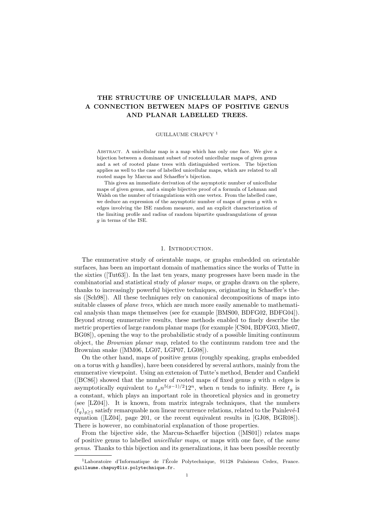# THE STRUCTURE OF UNICELLULAR MAPS, AND A CONNECTION BETWEEN MAPS OF POSITIVE GENUS AND PLANAR LABELLED TREES.

### GUILLAUME CHAPUY <sup>1</sup>

ABSTRACT. A unicellular map is a map which has only one face. We give a bijection between a dominant subset of rooted unicellular maps of given genus and a set of rooted plane trees with distinguished vertices. The bijection applies as well to the case of labelled unicellular maps, which are related to all rooted maps by Marcus and Schaeffer's bijection.

This gives an immediate derivation of the asymptotic number of unicellular maps of given genus, and a simple bijective proof of a formula of Lehman and Walsh on the number of triangulations with one vertex. From the labelled case, we deduce an expression of the asymptotic number of maps of genus  $g$  with  $n$ edges involving the ISE random measure, and an explicit characterization of the limiting profile and radius of random bipartite quadrangulations of genus g in terms of the ISE.

### 1. INTRODUCTION.

The enumerative study of orientable maps, or graphs embedded on orientable surfaces, has been an important domain of mathematics since the works of Tutte in the sixties ([Tut63]). In the last ten years, many progresses have been made in the combinatorial and statistical study of planar maps, or graphs drawn on the sphere, thanks to increasingly powerful bijective techniques, originating in Schaeffer's thesis ([Sch98]). All these techniques rely on canonical decompositions of maps into suitable classes of *plane trees*, which are much more easily amenable to mathematical analysis than maps themselves (see for example [BMS00, BDFG02, BDFG04]). Beyond strong enumerative results, these methods enabled to finely describe the metric properties of large random planar maps (for example [CS04, BDFG03, Mie07, BG08]), opening the way to the probabilistic study of a possible limiting continuum object, the Brownian planar map, related to the continuum random tree and the Brownian snake ([MM06, LG07, LGP07, LG08]).

On the other hand, maps of positive genus (roughly speaking, graphs embedded on a torus with  $q$  handles), have been considered by several authors, mainly from the enumerative viewpoint. Using an extension of Tutte's method, Bender and Canfield ( $[BC86]$ ) showed that the number of rooted maps of fixed genus g with n edges is asymptotically equivalent to  $t_g n^{5(g-1)/2} 12^n$ , when n tends to infinity. Here  $t_g$  is a constant, which plays an important role in theoretical physics and in geometry (see [LZ04]). It is known, from matrix integrals techniques, that the numbers  $(t_q)_{q>1}$  satisfy remarquable non linear recurrence relations, related to the Painlevé-I equation ([LZ04], page 201, or the recent equivalent results in [GJ08, BGR08]). There is however, no combinatorial explanation of those properties.

From the bijective side, the Marcus-Schaeffer bijection ([MS01]) relates maps of positive genus to labelled unicellular maps, or maps with one face, of the same genus. Thanks to this bijection and its generalizations, it has been possible recently

<sup>&</sup>lt;sup>1</sup>Laboratoire d'Informatique de l'École Polytechnique, 91128 Palaiseau Cedex, France. guillaume.chapuy@lix.polytechnique.fr.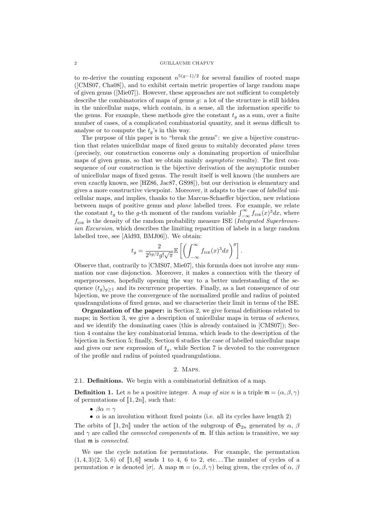### 2 GUILLAUME CHAPUY

to re-derive the counting exponent  $n^{5(g-1)/2}$  for several families of rooted maps ([CMS07, Cha08]), and to exhibit certain metric properties of large random maps of given genus ([Mie07]). However, these approaches are not sufficient to completely describe the combinatorics of maps of genus q: a lot of the structure is still hidden in the unicellular maps, which contain, in a sense, all the information specific to the genus. For example, these methods give the constant  $t_q$  as a sum, over a finite number of cases, of a complicated combinatorial quantity, and it seems difficult to analyse or to compute the  $t_g$ 's in this way.

The purpose of this paper is to "break the genus": we give a bijective construction that relates unicellular maps of fixed genus to suitably decorated plane trees (precisely, our construction concerns only a dominating proportion of unicellular maps of given genus, so that we obtain mainly asymptotic results). The first consequence of our construction is the bijective derivation of the asymptotic number of unicellular maps of fixed genus. The result itself is well known (the numbers are even exactly known, see [HZ86, Jac87, GS98]), but our derivation is elementary and gives a more constructive viewpoint. Moreover, it adapts to the case of labelled unicellular maps, and implies, thanks to the Marcus-Schaeffer bijection, new relations between maps of positive genus and plane labelled trees. For example, we relate the constant  $t_g$  to the g-th moment of the random variable  $\int_{-\infty}^{\infty} f_{\text{ISE}}(x)^3 dx$ , where  $f_{\text{ISE}}$  is the density of the random probability measure ISE (Integrated Superbrownian Excursion, which describes the limiting repartition of labels in a large random labelled tree, see [Ald93, BMJ06]). We obtain:

$$
t_g = \frac{2}{2^{5g/2}g!\sqrt{\pi}} \mathbb{E}\left[\left(\int_{-\infty}^{\infty} f_{\text{ISE}}(x)^3 dx\right)^g\right].
$$

Observe that, contrarily to [CMS07, Mie07], this formula does not involve any summation nor case disjonction. Moreover, it makes a connection with the theory of superprocesses, hopefully opening the way to a better understanding of the sequence  $(t_g)_{g>1}$  and its recurrence properties. Finally, as a last consequence of our bijection, we prove the convergence of the normalized profile and radius of pointed quadrangulations of fixed genus, and we characterize their limit in terms of the ISE.

Organization of the paper: in Section 2, we give formal definitions related to maps; in Section 3, we give a description of unicellular maps in terms of *schemes*. and we identify the dominating cases (this is already contained in [CMS07]); Section 4 contains the key combinatorial lemma, which leads to the description of the bijection in Section 5; finally, Section 6 studies the case of labelled unicellular maps and gives our new expression of  $t_q$ , while Section 7 is devoted to the convergence of the profile and radius of pointed quadrangulations.

### 2. Maps.

## 2.1. Definitions. We begin with a combinatorial definition of a map.

**Definition 1.** Let n be a positive integer. A map of size n is a triple  $\mathfrak{m} = (\alpha, \beta, \gamma)$ of permutations of  $\llbracket 1, 2n \rrbracket$ , such that:

- $\beta \alpha = \gamma$
- $\alpha$  is an involution without fixed points (i.e. all its cycles have length 2)

The orbits of  $\llbracket 1, 2n \rrbracket$  under the action of the subgroup of  $\mathfrak{S}_{2n}$  generated by  $\alpha$ ,  $\beta$ and  $\gamma$  are called the *connected components* of m. If this action is transitive, we say that m is connected.

We use the cycle notation for permutations. For example, the permutation  $(1,4,3)(2, 5,6)$  of  $\llbracket 1,6\rrbracket$  sends 1 to 4, 6 to 2, etc... The number of cycles of a permutation  $\sigma$  is denoted  $|\sigma|$ . A map  $\mathfrak{m} = (\alpha, \beta, \gamma)$  being given, the cycles of  $\alpha$ ,  $\beta$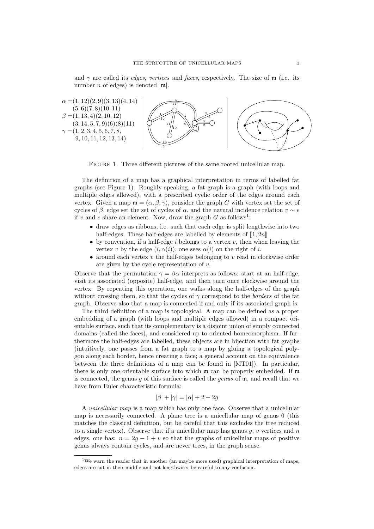and  $\gamma$  are called its *edges, vertices* and *faces,* respectively. The size of m (i.e. its number *n* of edges) is denoted  $|m|$ .



FIGURE 1. Three different pictures of the same rooted unicellular map.

The definition of a map has a graphical interpretation in terms of labelled fat graphs (see Figure 1). Roughly speaking, a fat graph is a graph (with loops and multiple edges allowed), with a prescribed cyclic order of the edges around each vertex. Given a map  $\mathfrak{m} = (\alpha, \beta, \gamma)$ , consider the graph G with vertex set the set of cycles of β, edge set the set of cycles of  $\alpha$ , and the natural incidence relation  $v \sim e$ if v and e share an element. Now, draw the graph  $G$  as follows<sup>1</sup>:

- draw edges as ribbons, i.e. such that each edge is split lengthwise into two half-edges. These half-edges are labelled by elements of  $\llbracket 1, 2n \rrbracket$
- by convention, if a half-edge i belongs to a vertex  $v$ , then when leaving the vertex v by the edge  $(i, \alpha(i))$ , one sees  $\alpha(i)$  on the right of i.
- around each vertex  $v$  the half-edges belonging to  $v$  read in clockwise order are given by the cycle representation of  $v$ .

Observe that the permutation  $\gamma = \beta \alpha$  interprets as follows: start at an half-edge, visit its associated (opposite) half-edge, and then turn once clockwise around the vertex. By repeating this operation, one walks along the half-edges of the graph without crossing them, so that the cycles of  $\gamma$  correspond to the *borders* of the fat graph. Observe also that a map is connected if and only if its associated graph is.

The third definition of a map is topological. A map can be defined as a proper embedding of a graph (with loops and multiple edges allowed) in a compact orientable surface, such that its complementary is a disjoint union of simply connected domains (called the faces), and considered up to oriented homeomorphism. If furthermore the half-edges are labelled, these objects are in bijection with fat graphs (intuitively, one passes from a fat graph to a map by gluing a topological polygon along each border, hence creating a face; a general account on the equivalence between the three definitions of a map can be found in [MT01]). In particular, there is only one orientable surface into which m can be properly embedded. If m is connected, the genus q of this surface is called the *genus* of  $m$ , and recall that we have from Euler characteristic formula:

$$
|\beta| + |\gamma| = |\alpha| + 2 - 2g
$$

A unicellular map is a map which has only one face. Observe that a unicellular map is necessarily connected. A plane tree is a unicellular map of genus 0 (this matches the classical definition, but be careful that this excludes the tree reduced to a single vertex). Observe that if a unicellular map has genus  $g, v$  vertices and  $n$ edges, one has:  $n = 2g - 1 + v$  so that the graphs of unicellular maps of positive genus always contain cycles, and are never trees, in the graph sense.

<sup>&</sup>lt;sup>1</sup>We warn the reader that in another (an maybe more used) graphical interpretation of maps, edges are cut in their middle and not lengthwise: be careful to any confusion.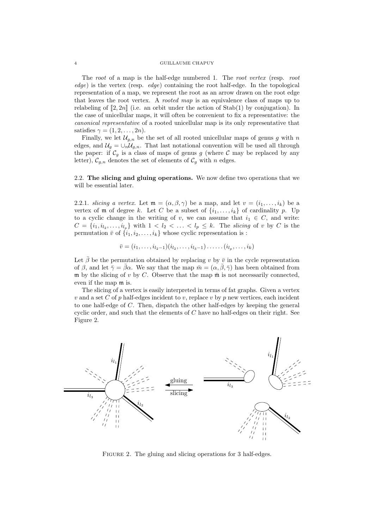### 4 GUILLAUME CHAPUY

The root of a map is the half-edge numbered 1. The root vertex (resp. root  $edge)$  is the vertex (resp.  $edge)$  containing the root half-edge. In the topological representation of a map, we represent the root as an arrow drawn on the root edge that leaves the root vertex. A rooted map is an equivalence class of maps up to relabeling of  $[2, 2n]$  (i.e. an orbit under the action of Stab(1) by conjugation). In the case of unicellular maps, it will often be convenient to fix a representative: the canonical representative of a rooted unicellular map is its only representative that satisfies  $\gamma = (1, 2, \ldots, 2n)$ .

Finally, we let  $\mathcal{U}_{q,n}$  be the set of all rooted unicellular maps of genus g with n edges, and  $\mathcal{U}_g = \cup_n \mathcal{U}_{g,n}$ . That last notational convention will be used all through the paper: if  $C_g$  is a class of maps of genus g (where C may be replaced by any letter),  $C_{g,n}$  denotes the set of elements of  $C_g$  with n edges.

# 2.2. The slicing and gluing operations. We now define two operations that we will be essential later.

2.2.1. slicing a vertex. Let  $\mathfrak{m} = (\alpha, \beta, \gamma)$  be a map, and let  $v = (i_1, \ldots, i_k)$  be a vertex of  $\mathfrak m$  of degree k. Let C be a subset of  $\{i_1,\ldots,i_k\}$  of cardinality p. Up to a cyclic change in the writing of v, we can assume that  $i_1 \in C$ , and write:  $C = \{i_1, i_{l_2}, \ldots, i_{l_p}\}$  with  $1 < l_2 < \ldots < l_p \leq k$ . The slicing of v by C is the permutation  $\bar{v}$  of  $\{i_1, i_2, \ldots, i_k\}$  whose cyclic representation is :

$$
\bar{v} = (i_1, \dots, i_{l_2-1})(i_{l_2}, \dots, i_{l_3-1}) \dots \dots (i_{l_p}, \dots, i_k)
$$

Let  $\bar{\beta}$  be the permutation obtained by replacing v by  $\bar{v}$  in the cycle representation of  $\beta$ , and let  $\bar{\gamma} = \bar{\beta}\alpha$ . We say that the map  $\bar{m} = (\alpha, \bar{\beta}, \bar{\gamma})$  has been obtained from m by the slicing of v by C. Observe that the map  $\overline{m}$  is not necessarily connected. even if the map m is.

The slicing of a vertex is easily interpreted in terms of fat graphs. Given a vertex v and a set C of p half-edges incident to v, replace v by p new vertices, each incident to one half-edge of C. Then, dispatch the other half-edges by keeping the general cyclic order, and such that the elements of  $C$  have no half-edges on their right. See Figure 2.



FIGURE 2. The gluing and slicing operations for 3 half-edges.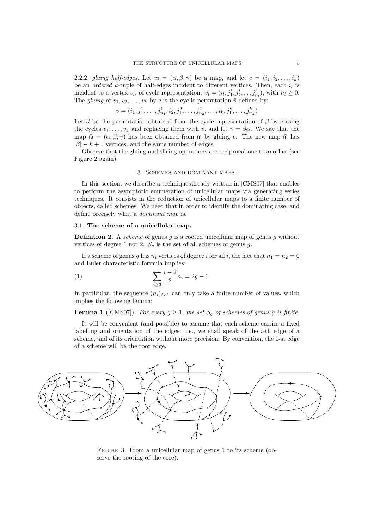2.2.2. gluing half-edges. Let  $\mathfrak{m} = (\alpha, \beta, \gamma)$  be a map, and let  $c = (i_1, i_2, \ldots, i_k)$ be an *ordered*  $k$ -tuple of half-edges incident to different vertices. Then, each  $i_l$  is incident to a vertex  $v_l$ , of cycle representation:  $v_l = (i_l, j_1^l, j_2^l, \ldots, j_{n_l}^l)$ , with  $n_l \geq 0$ . The gluing of  $v_1, v_2, \ldots, v_k$  by c is the cyclic permutation  $\bar{v}$  defined by:

$$
\bar{v} = (i_1, j_1^1, \dots, j_{n_1}^1, i_2, j_1^2, \dots, j_{n_2}^2, \dots, i_k, j_1^k, \dots, j_{n_k}^k)
$$

Let  $\bar{\beta}$  be the permutation obtained from the cycle representation of  $\beta$  by erasing the cycles  $v_1, \ldots, v_k$  and replacing them with  $\bar{v}$ , and let  $\bar{\gamma} = \bar{\beta} \alpha$ . We say that the map  $\bar{\mathfrak{m}} = (\alpha, \bar{\beta}, \bar{\gamma})$  has been obtained from  $\mathfrak{m}$  by gluing c. The new map  $\bar{\mathfrak{m}}$  has  $|\beta| - k + 1$  vertices, and the same number of edges.

Observe that the gluing and slicing operations are reciprocal one to another (see Figure 2 again).

#### 3. Schemes and dominant maps.

In this section, we describe a technique already written in [CMS07] that enables to perform the asymptotic enumeration of unicellular maps via generating series techniques. It consists in the reduction of unicellular maps to a finite number of objects, called schemes. We need that in order to identify the dominating case, and define precisely what a dominant map is.

### 3.1. The scheme of a unicellular map.

**Definition 2.** A scheme of genus  $g$  is a rooted unicellular map of genus  $g$  without vertices of degree 1 nor 2.  $S<sub>q</sub>$  is the set of all schemes of genus g.

If a scheme of genus g has  $n_i$  vertices of degree i for all i, the fact that  $n_1 = n_2 = 0$ and Euler characteristic formula implies:

(1) 
$$
\sum_{i\geq 3} \frac{i-2}{2} n_i = 2g - 1
$$

In particular, the sequence  $(n_i)_{i\geq 1}$  can only take a finite number of values, which implies the following lemma:

# **Lemma 1** ([CMS07]). For every  $g \ge 1$ , the set  $S_q$  of schemes of genus g is finite.

It will be convenient (and possible) to assume that each scheme carries a fixed labelling and orientation of the edges: i.e., we shall speak of the  $i$ -th edge of a scheme, and of its orientation without more precision. By convention, the 1-st edge of a scheme will be the root edge.



FIGURE 3. From a unicellular map of genus 1 to its scheme (observe the rooting of the core).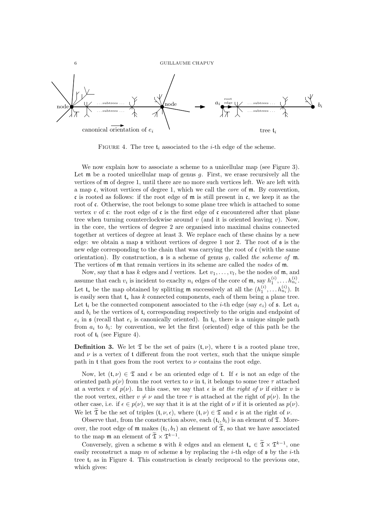6 GUILLAUME CHAPUY



FIGURE 4. The tree  $t_i$  associated to the *i*-th edge of the scheme.

We now explain how to associate a scheme to a unicellular map (see Figure 3). Let  $\mathfrak m$  be a rooted unicellular map of genus  $g$ . First, we erase recursively all the vertices of m of degree 1, until there are no more such vertices left. We are left with a map c, witout vertices of degree 1, which we call the core of m. By convention, c is rooted as follows: if the root edge of  $m$  is still present in c, we keep it as the root of  $\mathfrak c$ . Otherwise, the root belongs to some plane tree which is attached to some vertex  $v$  of  $\mathfrak c$ : the root edge of  $\mathfrak c$  is the first edge of  $\mathfrak c$  encountered after that plane tree when turning counterclockwise around v (and it is oriented leaving v). Now, in the core, the vertices of degree 2 are organised into maximal chains connected together at vertices of degree at least 3. We replace each of these chains by a new edge: we obtain a map s without vertices of degree 1 nor 2. The root of s is the new edge corresponding to the chain that was carrying the root of  $\mathfrak{c}$  (with the same orientation). By construction,  $\frak{s}$  is a scheme of genus q, called the scheme of m. The vertices of  $m$  that remain vertices in its scheme are called the *nodes* of  $m$ .

Now, say that  $\mathfrak s$  has  $k$  edges and  $l$  vertices. Let  $v_1, \ldots, v_l$ , be the nodes of  $\mathfrak m$ , and assume that each  $v_i$  is incident to exactly  $n_i$  edges of the core of  $\mathfrak{m}$ , say  $h_1^{(i)}, \ldots, h_{n_i}^{(i)}$ . Let  $\mathfrak{t}_*$  be the map obtained by splitting  $\mathfrak{m}$  successively at all the  $(h_1^{(i)}, \ldots h_{n_i}^{(i)})$ . It is easily seen that  $t_*$  has k connected components, each of them being a plane tree. Let  $t_i$  be the connected component associated to the *i*-th edge (say  $e_i$ ) of s. Let  $a_i$ and  $b_i$  be the vertices of  $t_i$  corresponding respectively to the origin and endpoint of  $e_i$  in  $\mathfrak s$  (recall that  $e_i$  is canonically oriented). In  $\mathfrak t_i$ , there is a unique simple path from  $a_i$  to  $b_i$ : by convention, we let the first (oriented) edge of this path be the root of  $t_i$  (see Figure 4).

**Definition 3.** We let  $\mathfrak T$  be the set of pairs  $(t, \nu)$ , where t is a rooted plane tree, and  $\nu$  is a vertex of t different from the root vertex, such that the unique simple path in t that goes from the root vertex to  $\nu$  contains the root edge.

Now, let  $(t, \nu) \in \mathfrak{T}$  and  $\epsilon$  be an oriented edge of t. If  $\epsilon$  is not an edge of the oriented path  $p(\nu)$  from the root vertex to  $\nu$  in t, it belongs to some tree  $\tau$  attached at a vertex v of  $p(\nu)$ . In this case, we say that  $\epsilon$  is at the right of  $\nu$  if either v is the root vertex, either  $v \neq \nu$  and the tree  $\tau$  is attached at the right of  $p(\nu)$ . In the other case, i.e. if  $\epsilon \in p(\nu)$ , we say that it is at the right of  $\nu$  if it is oriented as  $p(\nu)$ . We let  $\mathfrak T$  be the set of triples  $(t, \nu, \epsilon)$ , where  $(t, \nu) \in \mathfrak T$  and  $\epsilon$  is at the right of  $\nu$ .

Observe that, from the construction above, each  $(t_i, b_i)$  is an element of  $\mathfrak T$ . Moreover, the root edge of  $\mathfrak m$  makes  $(t_1, b_1)$  an element of  $\mathfrak T$ , so that we have associated to the map  $\mathfrak{m}$  an element of  $\widetilde{\mathfrak{T}} \times \mathfrak{T}^{k-1}$ .

Conversely, given a scheme  $\mathfrak{s}$  with k edges and an element  $\mathfrak{t}_* \in \mathfrak{T} \times \mathfrak{T}^{k-1}$ , one easily reconstruct a map m of scheme  $\mathfrak s$  by replacing the *i*-th edge of  $\mathfrak s$  by the *i*-th tree  $t_i$  as in Figure 4. This construction is clearly reciprocal to the previous one. which gives: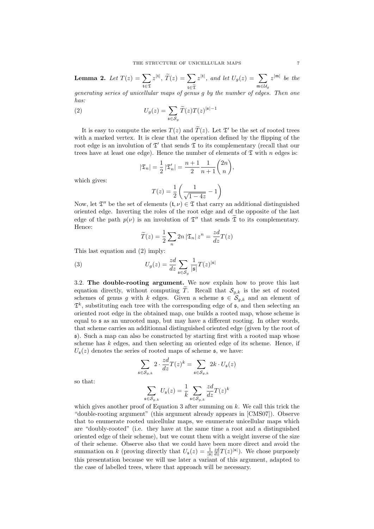**Lemma 2.** Let  $T(z) = \sum$ t∈T  $z^{\vert\mathfrak{t}\vert},\ \widetilde{T}(z)=\sum$ t∈ $\mathfrak{T}$  $z^{\vert\mathfrak{t}\vert}$ , and let  $U_g(z) = \sum$  $m \in \mathcal{U}_g$  $z^{|{\mathfrak{m}}|}$  be the

generating series of unicellular maps of genus g by the number of edges. Then one has:

(2) 
$$
U_g(z) = \sum_{\mathfrak{s} \in \mathcal{S}_g} \widetilde{T}(z) T(z)^{|\mathfrak{s}|-1}
$$

It is easy to compute the series  $T(z)$  and  $\tilde{T}(z)$ . Let  $\mathcal{I}'$  be the set of rooted trees with a marked vertex. It is clear that the operation defined by the flipping of the root edge is an involution of  $\mathfrak{T}'$  that sends  $\mathfrak{T}$  to its complementary (recall that our trees have at least one edge). Hence the number of elements of  $\mathfrak T$  with n edges is:

$$
|\mathfrak{T}_n| = \frac{1}{2} |\mathfrak{T}'_n| = \frac{n+1}{2} \frac{1}{n+1} {2n \choose n},
$$

which gives:

$$
T(z) = \frac{1}{2} \left( \frac{1}{\sqrt{1 - 4z}} - 1 \right)
$$

Now, let  $\mathfrak{T}''$  be the set of elements  $(\mathfrak{t}, \nu) \in \mathfrak{T}$  that carry an additional distinguished oriented edge. Inverting the roles of the root edge and of the opposite of the last edge of the path  $p(\nu)$  is an involution of  $\mathfrak{T}''$  that sends  $\widetilde{\mathfrak{T}}$  to its complementary. Hence:

$$
\widetilde{T}(z) = \frac{1}{2} \sum_{n} 2n |\mathfrak{T}_n| z^n = \frac{zd}{dz} T(z)
$$

This last equation and (2) imply:

(3) 
$$
U_g(z) = \frac{zd}{dz} \sum_{\mathfrak{s} \in \mathcal{S}_g} \frac{1}{|\mathfrak{s}|} T(z)^{|\mathfrak{s}|}
$$

3.2. The double-rooting argument. We now explain how to prove this last equation directly, without computing  $\tilde{T}$ . Recall that  $\mathcal{S}_{q,k}$  is the set of rooted schemes of genus g with k edges. Given a scheme  $\mathfrak{s} \in \mathcal{S}_{g,k}$  and an element of  $\mathfrak{T}^k$ , substituting each tree with the corresponding edge of  $\mathfrak{s}$ , and then selecting an oriented root edge in the obtained map, one builds a rooted map, whose scheme is equal to s as an unrooted map, but may have a different rooting. In other words, that scheme carries an additionnal distinguished oriented edge (given by the root of s). Such a map can also be constructed by starting first with a rooted map whose scheme has  $k$  edges, and then selecting an oriented edge of its scheme. Hence, if  $U_{\mathfrak{s}}(z)$  denotes the series of rooted maps of scheme  $\mathfrak{s}$ , we have:

$$
\sum_{\mathfrak{s}\in S_{g,k}} 2\cdot \frac{zd}{dz}T(z)^k = \sum_{\mathfrak{s}\in S_{g,k}} 2k\cdot U_{\mathfrak{s}}(z)
$$

so that:

$$
\sum_{\mathfrak{s}\in\mathcal{S}_{g,k}}U_{\mathfrak{s}}(z)=\frac{1}{k}\sum_{\mathfrak{s}\in\mathcal{S}_{g,k}}\frac{zd}{dz}T(z)^k
$$

which gives another proof of Equation 3 after summing on  $k$ . We call this trick the "double-rooting argument" (this argument already appears in [CMS07]). Observe that to enumerate rooted unicellular maps, we enumerate unicellular maps which are "doubly-rooted" (i.e. they have at the same time a root and a distinguished oriented edge of their scheme), but we count them with a weight inverse of the size of their scheme. Observe also that we could have been more direct and avoid the summation on k (proving directly that  $U_{\mathfrak{s}}(z) = \frac{1}{|\mathfrak{s}|} \frac{z d}{dz} T(z)^{|\mathfrak{s}|}$ ). We chose purposely this presentation because we will use later a variant of this argument, adapted to the case of labelled trees, where that approach will be necessary.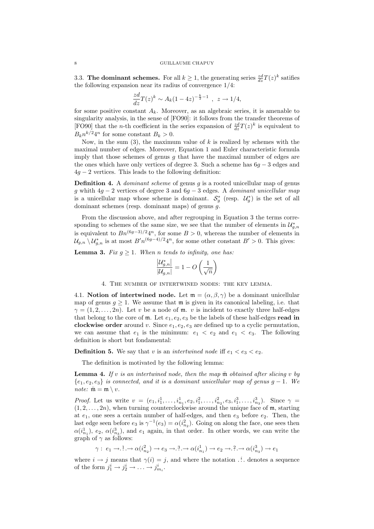3.3. The dominant schemes. For all  $k \geq 1$ , the generating series  $\frac{zd}{dz}T(z)^k$  satifies the following expansion near its radius of convergence 1/4:

$$
\frac{zd}{dz}T(z)^k \sim A_k(1-4z)^{-\frac{k}{2}-1} , z \to 1/4,
$$

for some positive constant  $A_k$ . Moreover, as an algebraic series, it is amenable to singularity analysis, in the sense of [FO90]: it follows from the transfer theorems of [FO90] that the *n*-th coefficient in the series expansion of  $\frac{zd}{dz}T(z)^k$  is equivalent to  $B_k n^{k/2} 4^n$  for some constant  $B_k > 0$ .

Now, in the sum  $(3)$ , the maximum value of k is realized by schemes with the maximal number of edges. Moreover, Equation 1 and Euler characteristic formula imply that those schemes of genus  $q$  that have the maximal number of edges are the ones which have only vertices of degree 3. Such a scheme has  $6g - 3$  edges and  $4g - 2$  vertices. This leads to the following definition:

**Definition 4.** A *dominant scheme* of genus q is a rooted unicellular map of genus g whith  $4g - 2$  vertices of degree 3 and  $6g - 3$  edges. A *dominant unicellular map* is a unicellular map whose scheme is dominant.  $S_g^*$  (resp.  $\mathcal{U}_g^*$ ) is the set of all dominant schemes (resp. dominant maps) of genus g.

From the discussion above, and after regrouping in Equation 3 the terms corresponding to schemes of the same size, we see that the number of elements in  $\mathcal{U}_{g,n}^*$ is equivalent to  $Bn^{(6g-3)/2}4^n$ , for some  $B > 0$ , whereas the number of elements in  $\mathcal{U}_{g,n} \setminus \mathcal{U}_{g,n}^*$  is at most  $B'n^{(6g-4)/2}4^n$ , for some other constant  $B' > 0$ . This gives:

**Lemma 3.** Fix  $g \geq 1$ . When n tends to infinity, one has:

$$
\frac{\left|\mathcal{U}_{g,n}^*\right|}{\left|\mathcal{U}_{g,n}\right|}=1-O\left(\frac{1}{\sqrt{n}}\right)
$$

4. The number of intertwined nodes: the key lemma.

4.1. Notion of intertwined node. Let  $\mathfrak{m} = (\alpha, \beta, \gamma)$  be a dominant unicellular map of genus  $q \geq 1$ . We assume that  $\mathfrak{m}$  is given in its canonical labeling, i.e. that  $\gamma = (1, 2, \ldots, 2n)$ . Let v be a node of m. v is incident to exactly three half-edges that belong to the core of  $m$ . Let  $e_1, e_2, e_3$  be the labels of these half-edges read in clockwise order around v. Since  $e_1, e_2, e_3$  are defined up to a cyclic permutation, we can assume that  $e_1$  is the minimum:  $e_1 < e_2$  and  $e_1 < e_3$ . The following definition is short but fondamental:

**Definition 5.** We say that v is an *intertwined node* iff  $e_1 < e_3 < e_2$ .

The definition is motivated by the following lemma:

**Lemma 4.** If v is an intertwined node, then the map  $\bar{m}$  obtained after slicing v by  ${e_1, e_2, e_3}$  is connected, and it is a dominant unicellular map of genus  $g - 1$ . We note:  $\bar{\mathfrak{m}} = \mathfrak{m} \setminus v$ .

*Proof.* Let us write  $v = (e_1, i_1^1, \ldots, i_{n_1}^1, e_2, i_1^2, \ldots, i_{n_2}^2, e_3, i_1^3, \ldots, i_{n_3}^3)$ . Since  $\gamma =$  $(1, 2, \ldots, 2n)$ , when turning counterclockwise around the unique face of m, starting at  $e_1$ , one sees a certain number of half-edges, and then  $e_3$  before  $e_2$ . Then, the last edge seen before  $e_3$  is  $\gamma^{-1}(e_3) = \alpha(i_{n_2}^2)$ . Going on along the face, one sees then  $\alpha(i_{n_1}^1)$ ,  $e_2$ ,  $\alpha(i_{n_3}^3)$ , and  $e_1$  again, in that order. In other words, we can write the graph of  $\gamma$  as follows:

$$
\gamma: e_1 \to \dots \to \alpha(i_{n_2}^2) \to e_3 \to \dots \to \alpha(i_{n_1}^1) \to e_2 \to \dots \to \alpha(i_{n_3}^3) \to e_1
$$

where  $i \to j$  means that  $\gamma(i) = j$ , and where the notation i. denotes a sequence of the form  $j_1^i \rightarrow j_2^i \rightarrow \ldots \rightarrow j_{m_i}^i$ .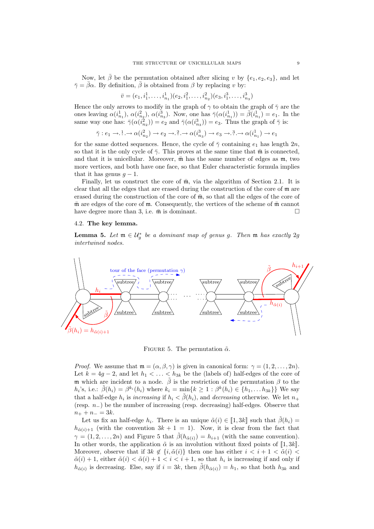Now, let  $\bar{\beta}$  be the permutation obtained after slicing v by  $\{e_1, e_2, e_3\}$ , and let  $\bar{\gamma} = \bar{\beta}\alpha$ . By definition,  $\bar{\beta}$  is obtained from  $\beta$  by replacing v by:

$$
\bar{v} = (e_1, i_1^1, \dots, i_{n_1}^1)(e_2, i_1^2, \dots, i_{n_2}^2)(e_3, i_1^3, \dots, i_{n_3}^3)
$$

Hence the only arrows to modify in the graph of  $\gamma$  to obtain the graph of  $\bar{\gamma}$  are the ones leaving  $\alpha(i_{n_1}^1), \alpha(i_{n_2}^2), \alpha(i_{n_3}^3)$ . Now, one has  $\bar{\gamma}(\alpha(i_{n_1}^1)) = \bar{\beta(i_{n_1}^1)} = e_1$ . In the same way one has:  $\bar{\gamma}(\alpha(i_{n_2}^2)) = e_2$  and  $\bar{\gamma}(\alpha(i_{n_3}^3)) = e_3$ . Thus the graph of  $\bar{\gamma}$  is:

$$
\bar{\gamma}: e_1 \to \ldots \to \alpha(i_{n_2}^2) \to e_2 \to \ldots \to \alpha(i_{n_3}^3) \to e_3 \to \ldots \to \alpha(i_{n_1}^1) \to e_1
$$

for the same dotted sequences. Hence, the cycle of  $\bar{\gamma}$  containing  $e_1$  has length  $2n$ , so that it is the only cycle of  $\bar{\gamma}$ . This proves at the same time that  $\bar{\mathfrak{m}}$  is connected. and that it is unicellular. Moreover,  $\bar{m}$  has the same number of edges as  $m$ , two more vertices, and both have one face, so that Euler characteristic formula implies that it has genus  $g - 1$ .

Finally, let us construct the core of  $\bar{m}$ , via the algorithm of Section 2.1. It is clear that all the edges that are erased during the construction of the core of m are erased during the construction of the core of  $\overline{m}$ , so that all the edges of the core of  $\bar{m}$  are edges of the core of  $m$ . Consequently, the vertices of the scheme of  $\bar{m}$  cannot have degree more than 3, i.e.  $\bar{m}$  is dominant.

### 4.2. The key lemma.

**Lemma 5.** Let  $\mathfrak{m} \in \mathcal{U}_g^*$  be a dominant map of genus g. Then  $\mathfrak{m}$  has exactly 2g intertwined nodes.



FIGURE 5. The permutation  $\tilde{\alpha}$ .

*Proof.* We assume that  $\mathfrak{m} = (\alpha, \beta, \gamma)$  is given in canonical form:  $\gamma = (1, 2, \ldots, 2n)$ . Let  $k = 4g - 2$ , and let  $h_1 < \ldots < h_{3k}$  be the (labels of) half-edges of the core of m which are incident to a node.  $\tilde{\beta}$  is the restriction of the permutation  $\beta$  to the  $h_i$ 's, i.e.:  $\tilde{\beta}(h_i) = \beta^{k_i}(h_i)$  where  $k_i = \min\{k \geq 1 : \beta^k(h_i) \in \{h_1, \ldots h_{3k}\}\}\$  We say that a half-edge  $h_i$  is increasing if  $h_i < \tilde{\beta}(h_i)$ , and decreasing otherwise. We let  $n_+$ (resp.  $n_$ ) be the number of increasing (resp. decreasing) half-edges. Observe that  $n_{+} + n_{-} = 3k.$ 

Let us fix an half-edge  $h_i$ . There is an unique  $\tilde{\alpha}(i) \in [1, 3k]$  such that  $\tilde{\beta}(h_i) =$ <br> $\ldots$  (with the convention  $3k+1=1$ ). Now, it is clear from the fact that  $h_{\tilde{\alpha}(i)+1}$  (with the convention  $3k + 1 = 1$ ). Now, it is clear from the fact that  $\gamma = (1, 2, \ldots, 2n)$  and Figure 5 that  $\tilde{\beta}(h_{\tilde{\alpha}(i)}) = h_{i+1}$  (with the same convention). In other words, the application  $\tilde{\alpha}$  is an involution without fixed points of  $\llbracket 1, 3k \rrbracket$ . Moreover, observe that if  $3k \notin \{i, \tilde{\alpha}(i)\}\$  then one has either  $i < i + 1 < \tilde{\alpha}(i)$  $\tilde{\alpha}(i) + 1$ , either  $\tilde{\alpha}(i) < \tilde{\alpha}(i) + 1 < i < i + 1$ , so that  $h_i$  is increasing if and only if  $h_{\tilde{\alpha}(i)}$  is decreasing. Else, say if  $i = 3k$ , then  $\tilde{\beta}(h_{\tilde{\alpha}(i)}) = h_1$ , so that both  $h_{3k}$  and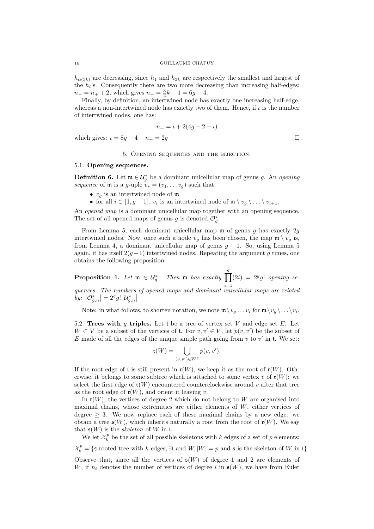$h_{\tilde{\alpha}(3k)}$  are decreasing, since  $h_1$  and  $h_{3k}$  are respectively the smallest and largest of the  $h_i$ 's. Consequently there are two more decreasing than increasing half-edges:  $n_{-} = n_{+} + 2$ , which gives  $n_{+} = \frac{3}{2}k - 1 = 6g - 4$ .

Finally, by definition, an intertwined node has exactly one increasing half-edge, whereas a non-intertwined node has exactly two of them. Hence, if  $\iota$  is the number of intertwined nodes, one has:

$$
n_{+} = \iota + 2(4g - 2 - \iota)
$$
  
= 2g

which gives:  $\iota = 8g - 4 - n_+ = 2g$ 

5. Opening sequences and the bijection.

### 5.1. Opening sequences.

**Definition 6.** Let  $\mathfrak{m} \in \mathcal{U}^*_{g}$  be a dominant unicellular map of genus g. An opening sequence of  $\mathfrak m$  is a g-uple  $v_* = (v_1, \ldots v_g)$  such that:

- $v_q$  is an intertwined node of  $m$
- for all  $i \in [\![1, g-1]\!]$ ,  $v_i$  is an intertwined node of  $\mathfrak{m} \setminus v_g \setminus \ldots \setminus v_{i+1}$ .

An *opened map* is a dominant unicellular map together with an opening sequence. The set of all opened maps of genus g is denoted  $\mathcal{O}_g^*$ .

From Lemma 5, each dominant unicellular map  $\mathfrak m$  of genus q has exactly  $2q$ intertwined nodes. Now, once such a node  $v_q$  has been chosen, the map  $\mathfrak{m} \setminus v_q$  is, from Lemma 4, a dominant unicellular map of genus  $g - 1$ . So, using Lemma 5 again, it has itself  $2(g-1)$  intertwined nodes. Repeating the argument g times, one obtains the following proposition:

**Proposition 1.** Let  $\mathfrak{m} \in \mathcal{U}_g^*$ . Then  $\mathfrak{m}$  has exactly  $\prod^g (2i) = 2^g g!$  opening sequences. The numbers of opened maps and dominant unicellular maps are related by:  $\left|\mathcal{O}_{g,n}^{*}\right| = 2^{g}g!\left|\mathcal{U}_{g,n}^{*}\right|$ 

Note: in what follows, to shorten notation, we note  $\mathfrak{m} \setminus v_g \ldots v_i$  for  $\mathfrak{m} \setminus v_g \setminus \ldots \setminus v_i$ .

5.2. Trees with q triples. Let t be a tree of vertex set V and edge set E. Let  $W \subset V$  be a subset of the vertices of t. For  $v, v' \in V$ , let  $p(v, v')$  be the subset of  $E$  made of all the edges of the unique simple path going from  $v$  to  $v'$  in t. We set:

$$
\mathfrak{r}(W) = \bigcup_{(v,v') \in W^2} p(v,v').
$$

If the root edge of t is still present in  $\mathfrak{r}(W)$ , we keep it as the root of  $\mathfrak{r}(W)$ . Otherwise, it belongs to some subtree which is attached to some vertex v of  $\mathfrak{r}(W)$ : we select the first edge of  $\mathfrak{r}(W)$  encountered counterclockwise around v after that tree as the root edge of  $\mathfrak{r}(W)$ , and orient it leaving v.

In  $\mathfrak{r}(W)$ , the vertices of degree 2 which do not belong to W are organised into maximal chains, whose extremities are either elements of  $W$ , either vertices of degree  $> 3$ . We now replace each of these maximal chains by a new edge: we obtain a tree  $\mathfrak{s}(W)$ , which inherits naturally a root from the root of  $\mathfrak{r}(W)$ . We say that  $\mathfrak{s}(W)$  is the skeleton of W in t.

We let  $\mathcal{X}_k^p$  be the set of all possible skeletons with k edges of a set of p elements:  $\mathcal{X}_k^p = \{ \mathfrak{s} \text{ rooted tree with } k \text{ edges}, \exists \mathfrak{t} \text{ and } W, |W| = p \text{ and } \mathfrak{s} \text{ is the skeleton of } W \text{ in } \mathfrak{t} \}$ 

Observe that, since all the vertices of  $\mathfrak{s}(W)$  of degree 1 and 2 are elements of W, if  $n_i$  denotes the number of vertices of degree i in  $\mathfrak{s}(W)$ , we have from Euler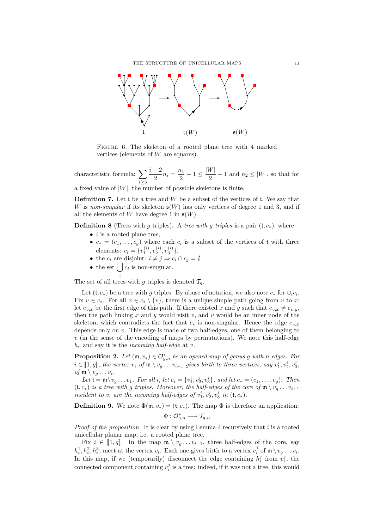

FIGURE 6. The skeleton of a rooted plane tree with 4 marked vertices (elements of W are squares).

characteristic formula:  $\sum$ i≥3  $i-2$  $\frac{-2}{2}n_i = \frac{n_1}{2}$  $\frac{n_1}{2} - 1 \leq \frac{|W|}{2}$  $\frac{n_1}{2}$  – 1 and  $n_2 \leq |W|$ , so that for

a fixed value of  $|W|$ , the number of possible skeletons is finite.

**Definition 7.** Let t be a tree and  $W$  be a subset of the vertices of t. We say that W is non-singular if its skeleton  $\mathfrak{s}(W)$  has only vertices of degree 1 and 3, and if all the elements of W have degree 1 in  $\mathfrak{s}(W)$ .

**Definition 8** (Trees with g triples). A tree with g triples is a pair  $(t, c_*)$ , where

- t is a rooted plane tree,
- $c_* = (c_1, \ldots, c_g)$  where each  $c_i$  is a subset of the vertices of t with three elements:  $c_i = \{v_1^{(i)}, v_2^{(i)}, v_3^{(i)}\}.$
- the  $c_i$  are disjoint:  $i \neq j \Rightarrow c_i \cap c_j = \emptyset$
- the set  $\vert \ \vert$  $c_i$  is non-singular.

i

The set of all trees with g triples is denoted  $\mathcal{T}_a$ .

Let  $(\mathfrak{t}, c_*)$  be a tree with g triples. By abuse of notation, we also note  $c_*$  for  $\cup_i c_i$ . Fix  $v \in c_*$ . For all  $x \in c_* \setminus \{v\}$ , there is a unique simple path going from v to x: let  $e_{v,x}$  be the first edge of this path. If there existed x and y such that  $e_{v,x} \neq e_{v,y}$ , then the path linking x and y would visit v, and v would be an inner node of the skeleton, which contradicts the fact that  $c_*$  is non-singular. Hence the edge  $e_{v,x}$ depends only on v. This edge is made of two half-edges, one of them belonging to  $v$  (in the sense of the encoding of maps by permutations). We note this half-edge  $h_v$  and say it is the *incoming half-edge* at v.

**Proposition 2.** Let  $(\mathfrak{m}, v_*) \in \mathcal{O}_{g,n}^*$  be an opened map of genus g with n edges. For  $i \in [\![1, g]\!]$ , the vertex  $v_i$  of  $\mathfrak{m} \setminus v_g \ldots v_{i+1}$  gives birth to three vertices, say  $v_1^i, v_2^i, v_3^i$ ,  $\sigma_3^i$ of  $\mathfrak{m} \setminus v_q \ldots v_i$ .

Let  $\mathbf{t} = \mathfrak{m} \setminus v_g \ldots v_1$ . For all i, let  $c_i = \{v_1^i, v_2^i, v_3^i\}$ , and let  $c_* = (c_1, \ldots, c_g)$ . Then  $(t, c_*)$  is a tree with g triples. Moreover, the half-edges of the core of  $\mathfrak{m} \setminus v_a \dots v_{i+1}$ incident to  $v_i$  are the incoming half-edges of  $v_1^i, v_2^i, v_3^i$  in  $(\mathfrak{t}, c_*)$ .

**Definition 9.** We note  $\Phi(\mathfrak{m}, v_*) = (\mathfrak{t}, c_*)$ . The map  $\Phi$  is therefore an application:  $\Phi: \mathcal{O}_{g,n}^* \longrightarrow \mathcal{T}_{g,n}$ 

Proof of the proposition. It is clear by using Lemma 4 recursively that t is a rooted unicellular planar map, i.e. a rooted plane tree.

Fix  $i \in [1, g]$ . In the map  $\mathfrak{m} \setminus v_g \dots v_{i+1}$ , three half-edges of the core, say  $h_i^1, h_i^2, h_i^3$ , meet at the vertex  $v_i$ . Each one gives birth to a vertex  $v_i^j$  of  $\mathfrak{m} \setminus v_g \dots v_i$ . In this map, if we (temporarily) disconnect the edge containing  $h_i^j$  from  $v_i^j$ , the connected component containing  $v_i^j$  is a tree: indeed, if it was not a tree, this would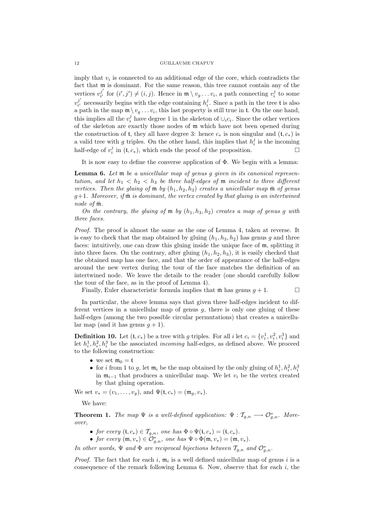imply that  $v_i$  is connected to an additional edge of the core, which contradicts the fact that m is dominant. For the same reason, this tree cannot contain any of the vertices  $v_{i'}^{j'}$  $j'_{i'}$  for  $(i', j') \neq (i, j)$ . Hence in  $\mathfrak{m} \setminus v_g \dots v_i$ , a path connecting  $v_i^j$  to some  $v_{i'}^{j'}$  $j'_{i'}$  necessarily begins with the edge containing  $h_i^j$ . Since a path in the tree t is also a path in the map  $\mathfrak{m} \setminus v_g \ldots v_i$ , this last property is still true in t. On the one hand, this implies all the  $v_i^j$  have degree 1 in the skeleton of  $\cup_i c_i$ . Since the other vertices of the skeleton are exactly those nodes of m which have not been opened during the construction of t, they all have degree 3: hence  $c_*$  is non singular and  $(t, c_*)$  is a valid tree with g triples. On the other hand, this implies that  $h_i^j$  is the incoming half-edge of  $v_i^j$  in  $(\mathfrak{t}, c_*)$ , which ends the proof of the proposition.

It is now easy to define the converse application of Φ. We begin with a lemma:

**Lemma 6.** Let  $m$  be a unicellular map of genus g given in its canonical representation, and let  $h_1 < h_2 < h_3$  be three half-edges of m incident to three different vertices. Then the gluing of  $\mathfrak m$  by  $(h_1, h_2, h_3)$  creates a unicellular map  $\bar{\mathfrak m}$  of genus  $g+1$ . Moreover, if  $\bar{\mathfrak{m}}$  is dominant, the vertex created by that gluing is an intertwined node of  $\bar{\mathfrak{m}}$ .

On the contrary, the gluing of  $\mathfrak m$  by  $(h_1, h_3, h_2)$  creates a map of genus g with three faces.

Proof. The proof is almost the same as the one of Lemma 4, taken at reverse. It is easy to check that the map obtained by gluing  $(h_1, h_3, h_2)$  has genus g and three faces: intuitively, one can draw this gluing inside the unique face of m, splitting it into three faces. On the contrary, after gluing  $(h_1, h_2, h_3)$ , it is easily checked that the obtained map has one face, and that the order of appearance of the half-edges around the new vertex during the tour of the face matches the definition of an intertwined node. We leave the details to the reader (one should carefully follow the tour of the face, as in the proof of Lemma 4).

Finally, Euler characteristic formula implies that  $\bar{m}$  has genus  $g + 1$ .

In particular, the above lemma says that given three half-edges incident to different vertices in a unicellular map of genus  $q$ , there is only one gluing of these half-edges (among the two possible circular permutations) that creates a unicellular map (and it has genus  $g + 1$ ).

**Definition 10.** Let  $(t, c_*)$  be a tree with g triples. For all i let  $c_i = \{v_i^1, v_i^2, v_i^3\}$  and let  $h_i^1, h_i^2, h_i^3$  be the associated *incoming* half-edges, as defined above. We proceed to the following construction:

- we set  $m_0 = t$
- for *i* from 1 to *g*, let  $\mathfrak{m}_i$  be the map obtained by the only gluing of  $h_i^1, h_i^2, h_i^3$ in  $\mathfrak{m}_{i-1}$  that produces a unicellular map. We let  $v_i$  be the vertex created by that gluing operation.

We set  $v_* = (v_1, \ldots, v_g)$ , and  $\Psi(\mathfrak{t}, c_*) = (\mathfrak{m}_g, v_*)$ .

We have:

**Theorem 1.** The map  $\Psi$  is a well-defined application:  $\Psi : \mathcal{T}_{g,n} \longrightarrow \mathcal{O}_{g,n}^*$ . Moreover,

- for every  $(t, c_*) \in \mathcal{T}_{g,n}$ , one has  $\Phi \circ \Psi(t, c_*) = (t, c_*).$
- for every  $(\mathfrak{m}, v_*) \in \mathcal{O}_{g,n}^*$ , one has  $\Psi \circ \Phi(\mathfrak{m}, v_*) = (\mathfrak{m}, v_*).$

In other words,  $\Psi$  and  $\Phi$  are reciprocal bijections between  $\mathcal{T}_{g,n}$  and  $\mathcal{O}_{g,n}^*$ .

*Proof.* The fact that for each i,  $m_i$  is a well defined unicellular map of genus i is a consequence of the remark following Lemma 6. Now, observe that for each  $i$ , the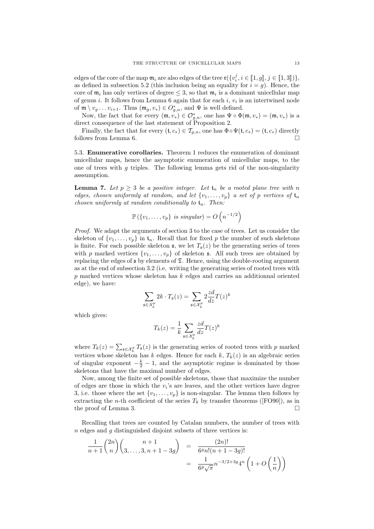edges of the core of the map  $\mathfrak{m}_i$  are also edges of the tree  $\mathfrak{r}(\{v_i^j, i \in [\![ 1, g]\!], j \in [\![ 1, 3]\!])\}$ , so defined in subsection 5.2 (this inclusion being an equality for  $i = g$ ). Hence, the as defined in subsection 5.2 (this inclusion being an equality for  $i = g$ ). Hence, the core of  $\mathfrak{m}_i$  has only vertices of degree  $\leq 3$ , so that  $\mathfrak{m}_i$  is a dominant unicellular map of genus *i*. It follows from Lemma 6 again that for each *i*,  $v_i$  is an intertwined node of  $\mathfrak{m} \setminus v_g \ldots v_{i+1}$ . Thus  $(\mathfrak{m}_g, v_*) \in O_{g,n}^*$ , and  $\Psi$  is well defined.

Now, the fact that for every  $(\mathfrak{m}, v_*) \in \mathcal{O}_{g,n}^*$ , one has  $\Psi \circ \Phi(\mathfrak{m}, v_*) = (\mathfrak{m}, v_*)$  is a direct consequence of the last statement of Proposition 2.

Finally, the fact that for every  $(t, c_*) \in \mathcal{T}_{g,n}$ , one has  $\Phi \circ \Psi(t, c_*) = (t, c_*)$  directly follows from Lemma 6.

5.3. Enumerative corollaries. Theorem 1 reduces the enumeration of dominant unicellular maps, hence the asymptotic enumeration of unicellular maps, to the one of trees with  $q$  triples. The following lemma gets rid of the non-singularity asssumption.

**Lemma 7.** Let  $p \geq 3$  be a positive integer. Let  $t_n$  be a rooted plane tree with n edges, chosen uniformly at random, and let  $\{v_1, \ldots, v_p\}$  a set of p vertices of  $t_n$ chosen uniformly at random conditionally to  $t_n$ . Then:

$$
\mathbb{P}\left(\{v_1,\ldots,v_p\} \text{ is singular}\right) = O\left(n^{-1/2}\right)
$$

Proof. We adapt the arguments of section 3 to the case of trees. Let us consider the skeleton of  $\{v_1, \ldots, v_p\}$  in  $t_n$ . Recall that for fixed p the number of such skeletons is finite. For each possible skeleton  $\mathfrak{s}$ , we let  $T_{\mathfrak{s}}(z)$  be the generating series of trees with p marked vertices  $\{v_1, \ldots, v_p\}$  of skeleton **5**. All such trees are obtained by replacing the edges of  $\mathfrak s$  by elements of  $\mathfrak T$ . Hence, using the double-rooting argument as at the end of subsection 3.2 (i.e. writing the generating series of rooted trees with p marked vertices whose skeleton has k edges and carries an additionnal oriented edge), we have:

$$
\sum_{\mathfrak{s}\in\mathcal{X}_k^p} 2k\cdot T_{\mathfrak{s}}(z)=\sum_{\mathfrak{s}\in\mathcal{X}_k^p} 2\frac{zd}{dz}T(z)^k
$$

which gives:

$$
T_k(z) = \frac{1}{k} \sum_{\mathfrak{s} \in \mathcal{X}_k^p} \frac{z d}{dz} T(z)^k
$$

where  $T_k(z) = \sum_{\mathfrak{s} \in \mathcal{X}_k^p} T_{\mathfrak{s}}(z)$  is the generating series of rooted trees with p marked vertices whose skeleton has k edges. Hence for each k,  $T_k(z)$  is an algebraic series of singular exponent  $-\frac{k}{2} - 1$ , and the asymptotic regime is dominated by those skeletons that have the maximal number of edges.

Now, among the finite set of possible skeletons, those that maximize the number of edges are those in which the  $v_i$ 's are leaves, and the other vertices have degree 3, i.e. those where the set  $\{v_1, \ldots, v_p\}$  is non-singular. The lemma then follows by extracting the *n*-th coefficient of the series  $T_k$  by transfer theorems ([FO90]), as in the proof of Lemma 3.  $\Box$ 

Recalling that trees are counted by Catalan numbers, the number of trees with  $n$  edges and  $q$  distinguished disjoint subsets of three vertices is:

$$
\frac{1}{n+1} \binom{2n}{n} \binom{n+1}{3, \dots, 3, n+1-3g} = \frac{(2n)!}{6^g n! (n+1-3g)!}
$$

$$
= \frac{1}{6^g \sqrt{\pi}} n^{-3/2+3g} 4^n \left( 1 + O\left(\frac{1}{n}\right) \right)
$$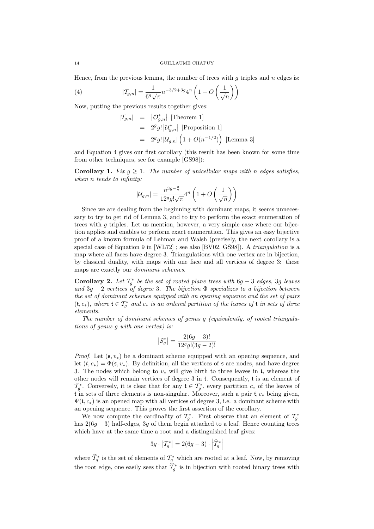Hence, from the previous lemma, the number of trees with  $g$  triples and  $n$  edges is:

(4) 
$$
|\mathcal{T}_{g,n}| = \frac{1}{6^g \sqrt{\pi}} n^{-3/2 + 3g} 4^n \left( 1 + O\left(\frac{1}{\sqrt{n}}\right) \right)
$$

Now, putting the previous results together gives:

$$
\begin{array}{rcl}\n|\mathcal{T}_{g,n}| & = & |\mathcal{O}_{g,n}^*| \text{ [Theorem 1]} \\
& = & 2^g g! \, |\mathcal{U}_{g,n}^*| \text{ [Proposition 1]} \\
& = & 2^g g! \, |\mathcal{U}_{g,n}| \left( 1 + O(n^{-1/2}) \right) \text{ [Lemma 3]} \n\end{array}
$$

and Equation 4 gives our first corollary (this result has been known for some time from other techniques, see for example [GS98]):

**Corollary 1.** Fix  $g \geq 1$ . The number of unicellular maps with n edges satisfies, when n tends to infinity:

$$
|\mathcal{U}_{g,n}|=\frac{n^{3g-\frac{3}{2}}}{12^g g!\sqrt{\pi}}4^n \left(1+O\left(\frac{1}{\sqrt{n}}\right)\right)
$$

Since we are dealing from the beginning with dominant maps, it seems unnecessary to try to get rid of Lemma 3, and to try to perform the exact enumeration of trees with  $g$  triples. Let us mention, however, a very simple case where our bijection applies and enables to perform exact enumeration. This gives an easy bijective proof of a known formula of Lehman and Walsh (precisely, the next corollary is a special case of Equation 9 in [WL72] ; see also [BV02, GS98]). A *triangulation* is a map where all faces have degree 3. Triangulations with one vertex are in bijection, by classical duality, with maps with one face and all vertices of degree 3: these maps are exactly our dominant schemes.

**Corollary 2.** Let  $\mathcal{T}_g^*$  be the set of rooted plane trees with  $6g - 3$  edges, 3g leaves and  $3g - 2$  vertices of degree 3. The bijection  $\Phi$  specializes to a bijection between the set of dominant schemes equipped with an opening sequence and the set of pairs  $(t, c_*)$ , where  $t \in \mathcal{T}_g^*$  and  $c_*$  is an ordered partition of the leaves of t in sets of three elements.

The number of dominant schemes of genus g (equivalently, of rooted triangulations of genus g with one vertex) is:

$$
|S_g^*| = \frac{2(6g-3)!}{12^g g!(3g-2)!}
$$

*Proof.* Let  $(s, v_*)$  be a dominant scheme equipped with an opening sequence, and let  $(t, c_*) = \Phi(\mathfrak{s}, v_*)$ . By definition, all the vertices of  $\mathfrak{s}$  are nodes, and have degree 3. The nodes which belong to  $v_*$  will give birth to three leaves in t, whereas the other nodes will remain vertices of degree 3 in t. Consequently, t is an element of  $\mathcal{T}_{g}^*$ . Conversely, it is clear that for any  $\mathfrak{t} \in \mathcal{T}_{g}^*$ , every partition  $c_*$  of the leaves of t in sets of three elements is non-singular. Moreover, such a pair  $t, c_*$  being given,  $\Psi(\mathfrak{t}, c_*)$  is an opened map with all vertices of degree 3, i.e. a dominant scheme with an opening sequence. This proves the first assertion of the corollary.

We now compute the cardinality of  $\mathcal{T}_{g}^{*}$ . First observe that an element of  $\mathcal{T}_{g}^{*}$ has  $2(6g-3)$  half-edges, 3g of them begin attached to a leaf. Hence counting trees which have at the same time a root and a distinguished leaf gives:

$$
3g \cdot \left| \mathcal{T}_g^* \right| = 2(6g - 3) \cdot \left| \widehat{\mathcal{T}}_g^* \right|
$$

where  $\widehat{T}_g^*$  is the set of elements of  $\mathcal{T}_g^*$  which are rooted at a leaf. Now, by removing the root edge, one easily sees that  $\hat{T}_g^*$  is in bijection with rooted binary trees with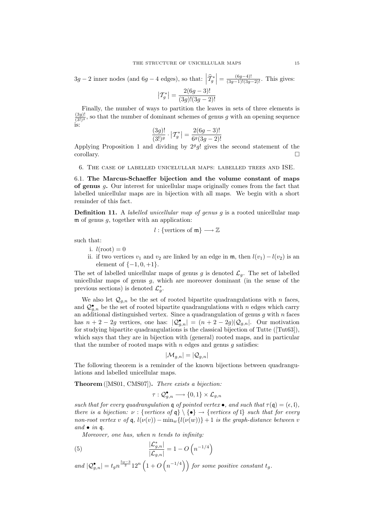$3g-2$  inner nodes (and  $6g-4$  edges), so that:  $\left|\hat{\mathcal{T}}_g^*\right| = \frac{(6g-4)!}{(3g-1)!(3g-2)!}$ . This gives:

$$
\left|\mathcal{T}_g^*\right| = \frac{2(6g-3)!}{(3g)!(3g-2)!}
$$

Finally, the number of ways to partition the leaves in sets of three elements is  $\frac{(3g)!}{(3!)^g}$ , so that the number of dominant schemes of genus g with an opening sequence is:

$$
\frac{(3g)!}{(3!)^g} \cdot |T_g^*| = \frac{2(6g-3)!}{6^g(3g-2)!}
$$

Applying Proposition 1 and dividing by  $2^g g!$  gives the second statement of the corollary.

6. The case of labelled unicelullar maps: labelled trees and ISE.

6.1. The Marcus-Schaeffer bijection and the volume constant of maps of genus g. Our interest for unicellular maps originally comes from the fact that labelled unicellular maps are in bijection with all maps. We begin with a short reminder of this fact.

**Definition 11.** A *labelled unicellular map of genus q* is a rooted unicellular map  $m$  of genus q, together with an application:

$$
l: \{ \text{vertices of } \mathfrak{m} \} \longrightarrow \mathbb{Z}
$$

such that:

i.  $l(\text{root}) = 0$ 

ii. if two vertices  $v_1$  and  $v_2$  are linked by an edge in m, then  $l(v_1) - l(v_2)$  is an element of  $\{-1, 0, +1\}.$ 

The set of labelled unicellular maps of genus g is denoted  $\mathcal{L}_q$ . The set of labelled unicellular maps of genus  $g$ , which are moreover dominant (in the sense of the previous sections) is denoted  $\mathcal{L}_g^*$ .

We also let  $\mathcal{Q}_{g,n}$  be the set of rooted bipartite quadrangulations with n faces, and  $\mathcal{Q}_{g,n}^{\bullet}$  be the set of rooted bipartite quadrangulations with n edges which carry an additional distinguished vertex. Since a quadrangulation of genus  $g$  with  $n$  faces has  $n + 2 - 2g$  vertices, one has:  $|\mathcal{Q}_{g,n}^{\bullet}| = (n + 2 - 2g)|\mathcal{Q}_{g,n}|$ . Our motivation for studying bipartite quadrangulations is the classical bijection of Tutte ([Tut63]), which says that they are in bijection with (general) rooted maps, and in particular that the number of rooted maps with  $n$  edges and genus  $q$  satisfies:

$$
|\mathcal{M}_{g,n}| = |\mathcal{Q}_{g,n}|
$$

The following theorem is a reminder of the known bijections between quadrangulations and labelled unicellular maps.

Theorem ([MS01, CMS07]). There exists a bijection:

$$
\tau: \mathcal{Q}_{g,n}^{\bullet} \longrightarrow \{0,1\} \times \mathcal{L}_{g,n}
$$

such that for every quadrangulation q of pointed vertex  $\bullet$ , and such that  $\tau(\mathfrak{q}) = (\epsilon, \mathfrak{l})$ , there is a bijection:  $\nu : \{vertices \ of \ q\} \setminus \{\bullet\} \rightarrow \{vertices \ of \ l\} \ such \ that \ for \ every$ non-root vertex v of q,  $l(\nu(v)) - \min_w \{l(\nu(w))\} + 1$  is the graph-distance between v and  $\bullet$  in q.

Moreover, one has, when n tends to infinity:

(5) 
$$
\frac{|\mathcal{L}_{g,n}^*|}{|\mathcal{L}_{g,n}|} = 1 - O\left(n^{-1/4}\right)
$$

and  $|\mathcal{Q}_{g,n}^{\bullet}| = t_g n^{\frac{5g-3}{2}} 12^n \left(1 + O\left(n^{-1/4}\right)\right)$  for some positive constant  $t_g$ .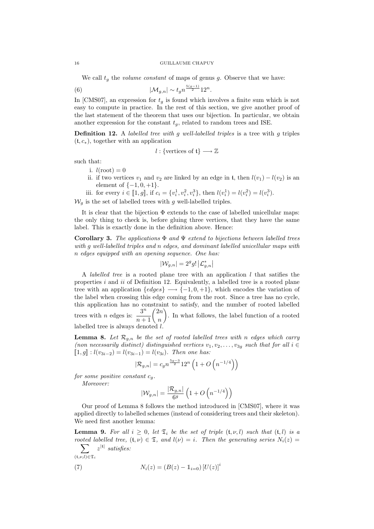#### 16 GUILLAUME CHAPUY

We call  $t<sub>g</sub>$  the volume constant of maps of genus g. Observe that we have:

(6) 
$$
|\mathcal{M}_{g,n}| \sim t_g n^{\frac{5(g-1)}{2}} 12^n.
$$

In [CMS07], an expression for  $t_q$  is found which involves a finite sum which is not easy to compute in practice. In the rest of this section, we give another proof of the last statement of the theorem that uses our bijection. In particular, we obtain another expression for the constant  $t<sub>g</sub>$ , related to random trees and ISE.

Definition 12. A labelled tree with g well-labelled triples is a tree with g triples  $(t, c_*)$ , together with an application

$$
l: \{ \text{vertices of } t \} \longrightarrow \mathbb{Z}
$$

such that:

- i.  $l(\text{root}) = 0$
- ii. if two vertices  $v_1$  and  $v_2$  are linked by an edge in t, then  $l(v_1) l(v_2)$  is an element of  $\{-1, 0, +1\}.$
- iii. for every  $i \in [\![1, g]\!]$ , if  $c_i = \{v_i^1, v_i^2, v_i^3\}$ , then  $l(v_i^1) = l(v_i^2) = l(v_i^3)$ .

 $\mathcal{W}_q$  is the set of labelled trees with g well-labelled triples.

It is clear that the bijection  $\Phi$  extends to the case of labelled unicellular maps: the only thing to check is, before gluing three vertices, that they have the same label. This is exactly done in the definition above. Hence:

Corollary 3. The applications  $\Phi$  and  $\Psi$  extend to bijections between labelled trees with g well-labelled triples and n edges, and dominant labelled unicellular maps with n edges equipped with an opening sequence. One has:

$$
|\mathcal{W}_{g,n}|=2^g g!\left|\mathcal{L}_{g,n}^*\right|
$$

A *labelled tree* is a rooted plane tree with an application  $l$  that satifies the properties  $i$  and  $ii$  of Definition 12. Equivalently, a labelled tree is a rooted plane tree with an application  $\{edges\} \longrightarrow \{-1,0,+1\}$ , which encodes the variation of the label when crossing this edge coming from the root. Since a tree has no cycle, this application has no constraint to satisfy, and the number of rooted labelled trees with *n* edges is:  $\frac{3^n}{n+1} \binom{2n}{n}$ n . In what follows, the label function of a rooted labelled tree is always denoted

**Lemma 8.** Let  $\mathcal{R}_{g,n}$  be the set of rooted labelled trees with n edges which carry (non necessarily distinct) distinguished vertices  $v_1, v_2, \ldots, v_{3g}$  such that for all  $i \in$  $\llbracket 1, q \rrbracket : l(v_{3i-2}) = l(v_{3i-1}) = l(v_{3i}).$  Then one has:

$$
|\mathcal{R}_{g,n}|=c_g n^{\frac{5g-3}{2}} 12^n \left(1+O\left(n^{-1/4}\right)\right)
$$

for some positive constant  $c_q$ .

Moreover:

$$
|\mathcal{W}_{g,n}| = \frac{|\mathcal{R}_{g,n}|}{6^g} \left(1 + O\left(n^{-1/4}\right)\right)
$$

Our proof of Lemma 8 follows the method introduced in [CMS07], where it was applied directly to labelled schemes (instead of considering trees and their skeleton). We need first another lemma:

**Lemma 9.** For all  $i \geq 0$ , let  $\mathfrak{T}_i$  be the set of triple  $(\mathfrak{t}, \nu, l)$  such that  $(\mathfrak{t}, l)$  is a rooted labelled tree,  $(t, \nu) \in \mathfrak{T}$ , and  $l(\nu) = i$ . Then the generating series  $N_i(z) =$  $\sum_{z} |t|$  satisfies:

$$
(t,\nu,l)\in\mathfrak{T}_i
$$
  
(7) 
$$
N_i(z) = (B(z) - \mathbb{1}_{i=0}) [U(z)]^i
$$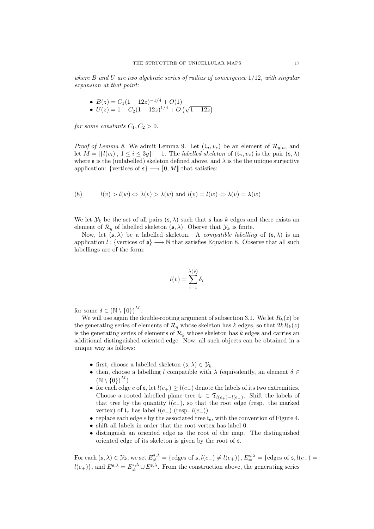where  $B$  and  $U$  are two algebraic series of radius of convergence  $1/12$ , with singular expansion at that point:

• 
$$
B(z) = C_1(1 - 12z)^{-1/4} + O(1)
$$

•  $D(z) = C_1(1 - 12z)$  +  $D(1)$ <br>•  $U(z) = 1 - C_2(1 - 12z)^{1/4} + O(\sqrt{1 - 12z})$ 

for some constants  $C_1, C_2 > 0$ .

*Proof of Lemma 8.* We admit Lemma 9. Let  $(t_n, v_*)$  be an element of  $\mathcal{R}_{g,n}$ , and let  $M = |\{l(v_i), 1 \le i \le 3g\}| - 1$ . The *labelled skeleton* of  $(\mathfrak{t}_n, v_*)$  is the pair  $(\mathfrak{s}, \lambda)$ where  $\mathfrak s$  is the (unlabelled) skeleton defined above, and  $\lambda$  is the the unique surjective application: {vertices of  $\mathfrak{s}$ }  $\longrightarrow$  [0, M] that satisfies:

(8) 
$$
l(v) > l(w) \Leftrightarrow \lambda(v) > \lambda(w)
$$
 and  $l(v) = l(w) \Leftrightarrow \lambda(v) = \lambda(w)$ 

We let  $\mathcal{Y}_k$  be the set of all pairs  $(\mathfrak{s}, \lambda)$  such that  $\mathfrak{s}$  has k edges and there exists an element of  $\mathcal{R}_q$  of labelled skeleton  $(\mathfrak{s}, \lambda)$ . Oberve that  $\mathcal{Y}_k$  is finite.

Now, let  $(s, \lambda)$  be a labelled skeleton. A *compatible labelling* of  $(s, \lambda)$  is an application l: {vertices of  $\mathfrak{s}$ }  $\longrightarrow \mathbb{N}$  that satisfies Equation 8. Observe that all such labellings are of the form:

$$
l(v) = \sum_{i=1}^{\lambda(v)} \delta_i
$$

for some  $\delta \in (\mathbb{N} \setminus \{0\})^M$ .

We will use again the double-rooting argument of subsection 3.1. We let  $R_k(z)$  be the generating series of elements of  $\mathcal{R}_q$  whose skeleton has k edges, so that  $2kR_k(z)$ is the generating series of elements of  $\mathcal{R}_q$  whose skeleton has k edges and carries an additional distinguished oriented edge. Now, all such objects can be obtained in a unique way as follows:

- first, choose a labelled skeleton  $(\mathfrak{s}, \lambda) \in \mathcal{Y}_k$
- then, choose a labelling l compatible with  $\lambda$  (equivalently, an element  $\delta \in$  $(N \setminus \{0\})^M$
- for each edge e of  $\mathfrak{s}$ , let  $l(e_+) \geq l(e_-)$  denote the labels of its two extremities. Choose a rooted labelled plane tree  $\mathfrak{t}_e \in \mathfrak{T}_{l(e_+) - l(e_-)}$ . Shift the labels of that tree by the quantity  $l(e_$ ), so that the root edge (resp. the marked vertex) of  $t_e$  has label  $l(e_+)$  (resp.  $l(e_+)$ ).
- replace each edge e by the associated tree  $t_e$ , with the convention of Figure 4.
- shift all labels in order that the root vertex has label 0.
- distinguish an oriented edge as the root of the map. The distinguished oriented edge of its skeleton is given by the root of s.

For each  $(\mathfrak{s}, \lambda) \in \mathcal{Y}_k$ , we set  $E_{\neq}^{\mathfrak{s}, \lambda} = \{$ edges of  $\mathfrak{s}, l(e_{-}) \neq l(e_{+})\}, E_{=}^{\mathfrak{s}, \lambda} = \{$ edges of  $\mathfrak{s}, l(e_{-})$  $l(e_+)$ , and  $E^{\mathfrak{s},\lambda} = E^{\mathfrak{s},\lambda}_\neq \cup E^{\mathfrak{s},\lambda}_=$ . From the construction above, the generating series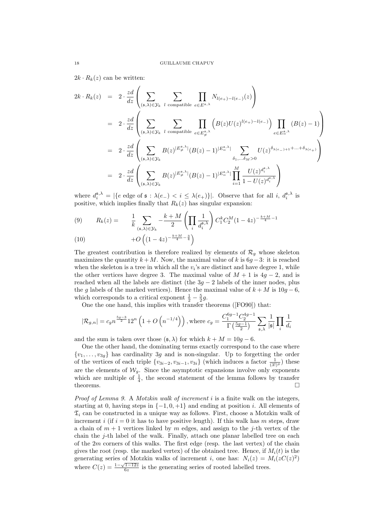$2k \cdot R_k(z)$  can be written:

$$
2k \cdot R_k(z) = 2 \cdot \frac{zd}{dz} \left( \sum_{(\mathfrak{s},\lambda) \in \mathcal{Y}_k} \sum_{l \text{ compatible}} \prod_{e \in E^{\mathfrak{s},\lambda}} N_{l(e_+) - l(e_-)}(z) \right)
$$
  
\n
$$
= 2 \cdot \frac{zd}{dz} \left( \sum_{(\mathfrak{s},\lambda) \in \mathcal{Y}_k} \sum_{l \text{ compatible}} \prod_{e \in E^{\mathfrak{s},\lambda}_{\neq}} \left( B(z)U(z)^{l(e_+) - l(e_-)} \right) \prod_{e \in E^{\mathfrak{s},\lambda}_{\neq}} (B(z) - 1) \right)
$$
  
\n
$$
= 2 \cdot \frac{zd}{dz} \left( \sum_{(\mathfrak{s},\lambda) \in \mathcal{Y}_k} B(z)^{|E_{\neq}^{\mathfrak{s},\lambda}|} (B(z) - 1)^{|E_{=}^{\mathfrak{s},\lambda}|} \sum_{\delta_1, \dots, \delta_M > 0} U(z)^{\delta_{\lambda(e_-)+1} + \dots + \delta_{\lambda(e_+)}} \right)
$$
  
\n
$$
= 2 \cdot \frac{zd}{dz} \left( \sum_{(\mathfrak{s},\lambda) \in \mathcal{Y}_k} B(z)^{|E_{\neq}^{\mathfrak{s},\lambda}|} (B(z) - 1)^{|E_{=}^{\mathfrak{s},\lambda}|} \prod_{i=1}^M \frac{U(z)^{d_i^{\mathfrak{s},\lambda}}}{1 - U(z)^{d_i^{\mathfrak{s},\lambda}}} \right)
$$

where  $d_i^{\mathfrak{s},\lambda} = |\{e \text{ edge of } \mathfrak{s} : \lambda(e_-) < i \leq \lambda(e_+)\}|$ . Observe that for all i,  $d_i^{\mathfrak{s},\lambda}$  is positive, which implies finally that  $R_k(z)$  has singular expansion:

(9) 
$$
R_k(z) = \frac{1}{k} \sum_{(\mathfrak{s}, \lambda) \in \mathcal{Y}_k} -\frac{k+M}{2} \left( \prod_i \frac{1}{d_i^{\mathfrak{s}, \lambda}} \right) C_1^k C_2^M (1 - 4z)^{-\frac{k+M}{4} - 1}
$$
  

$$
+ O\left( (1 - 4z)^{-\frac{k+M}{4} - \frac{3}{4}} \right)
$$

(10) 
$$
+O\left((1-4z)^{-\frac{k+M}{4}-\frac{3}{4}}\right)
$$

The greatest contribution is therefore realized by elements of  $\mathcal{R}_q$  whose skeleton maximizes the quantity  $k + M$ . Now, the maximal value of k is  $6q - 3$ : it is reached when the skeleton is a tree in which all the  $v_i$ 's are distinct and have degree 1, while the other vertices have degree 3. The maximal value of  $M + 1$  is  $4g - 2$ , and is reached when all the labels are distinct (the  $3g - 2$  labels of the inner nodes, plus the g labels of the marked vertices). Hence the maximal value of  $k + M$  is  $10g - 6$ , which corresponds to a critical exponent  $\frac{1}{2} - \frac{5}{2}g$ .

One the one hand, this implies with transfer theorems ([FO90]) that:

$$
|\mathcal{R}_{g,n}|=c_g n^{\frac{5g-3}{2}} 12^n \left(1+O\left(n^{-1/4}\right)\right)\textrm{, where }c_g=\frac{C_1^{6g-1}C_2^{4g-1}}{\Gamma\left(\frac{5g-1}{2}\right)}\sum_{\mathfrak{s},\lambda}\frac{1}{|\mathfrak{s}|}\prod_i\frac{1}{d_i}
$$

and the sum is taken over those  $(\mathfrak{s}, \lambda)$  for which  $k + M = 10g - 6$ .

One the other hand, the dominating terms exactly correspond to the case where  $\{v_1, \ldots, v_{3g}\}\$  has cardinality 3g and is non-singular. Up to forgetting the order of the vertices of each triple  $\{v_{3i-2}, v_{3i-1}, v_{3i}\}$  (which induces a factor  $\frac{1}{(3!)^g}$ ) these are the elements of  $\mathcal{W}_g$ . Since the asymptotic expansions involve only exponents which are multiple of  $\frac{1}{4}$ , the second statement of the lemma follows by transfer theorems.  $\Box$ 

*Proof of Lemma 9.* A *Motzkin walk of increment i* is a finite walk on the integers, starting at 0, having steps in  $\{-1, 0, +1\}$  and ending at position *i*. All elements of  $\mathfrak{T}_i$  can be constructed in a unique way as follows. First, choose a Motzkin walk of increment i (if  $i = 0$  it has to have positive length). If this walk has m steps, draw a chain of  $m + 1$  vertices linked by m edges, and assign to the j-th vertex of the chain the j-th label of the walk. Finally, attach one planar labelled tree on each of the  $2m$  corners of this walks. The first edge (resp. the last vertex) of the chain gives the root (resp. the marked vertex) of the obtained tree. Hence, if  $M_i(t)$  is the generating series of Motzkin walks of increment *i*, one has:  $N_i(z) = M_i(zC(z)^2)$ where  $C(z) = \frac{1-\sqrt{1-12z}}{6z}$  is the generating series of rooted labelled trees.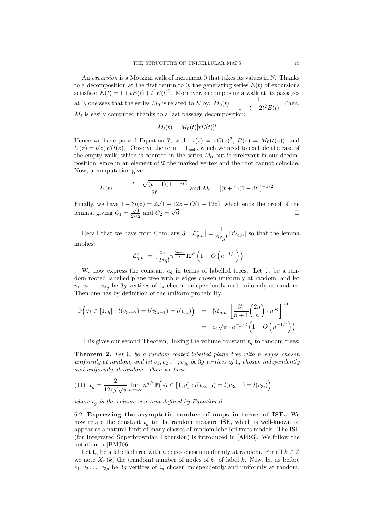An excursion is a Motzkin walk of increment 0 that takes its values in N. Thanks to a decomposition at the first return to 0, the generating series  $E(t)$  of excursions satisfies:  $E(t) = 1 + tE(t) + t^2 E(t)^2$ . Moreover, decomposing a walk at its passages at 0, one sees that the series  $M_0$  is related to E by:  $M_0(t) = \frac{1}{1 - t - 2t^2 E(t)}$ . Then,  $M_i$  is easily computed thanks to a last passage decomposition:

$$
M_i(t) = M_0(t)[tE(t)]^i
$$

Hence we have proved Equation 7, with:  $t(z) = zC(z)^2$ ,  $B(z) = M_0(t(z))$ , and  $U(z) = t(z)E(t(z))$ . Observe the term  $-\mathbb{1}_{i=0}$ , which we need to exclude the case of the empty walk, which is counted in the series  $M_0$  but is irrelevant in our decomposition, since in an element of  $\mathfrak T$  the marked vertex and the root cannot coincide. Now, a computation gives:

$$
U(t) = \frac{1 - t - \sqrt{(t+1)(1-3t)}}{2t}
$$
 and  $M_0 = [(t+1)(1-3t)]^{-1/2}$ 

Finally, we have  $1 - 3t(z) = 2\sqrt{1 - 12z} + O(1 - 12z)$ , which ends the proof of the lemma, giving  $C_1 = \frac{\sqrt{3}}{2\sqrt{3}}$  $\frac{\sqrt{3}}{2\sqrt{2}}$  and  $C_2 =$ √  $\overline{6}$ .

Recall that we have from Corollary 3:  $\left|\mathcal{L}_{g,n}^{*}\right| = \frac{1}{2g}$  $\frac{1}{2^{g}g!}|\mathcal{W}_{g,n}|$  so that the lemma implies:

$$
\left|\mathcal{L}^*_{g,n}\right|=\frac{c_g}{12^g g!}n^{\frac{5g-3}{2}}12^n\left(1+O\left(n^{-1/4}\right)\right)
$$

We now express the constant  $c_g$  in terms of labelled trees. Let  $t_n$  be a random rooted labelled plane tree with  $n$  edges chosen uniformly at random, and let  $v_1, v_2, \ldots, v_{3q}$  be 3g vertices of  $t_n$  chosen independently and uniformly at random. Then one has by definition of the uniform probability:

$$
\mathbb{P}\Big(\forall i \in [1, g]: l(v_{3i-2}) = l(v_{3i-1}) = l(v_{3i})\Big) = |\mathcal{R}_{g,n}| \left[\frac{3^n}{n+1} {2n \choose n} \cdot n^{3g}\right]^{-1}
$$

$$
= c_g \sqrt{\pi} \cdot n^{-g/2} \left(1 + O\left(n^{-1/4}\right)\right)
$$

This gives our second Theorem, linking the volume constant  $t_q$  to random trees:

**Theorem 2.** Let  $t_n$  be a random rooted labelled plane tree with n edges chosen uniformly at random, and let  $v_1, v_2, \ldots, v_{3g}$  be 3g vertices of  $\mathfrak{t}_n$  chosen independently and uniformly at random. Then we have

(11) 
$$
t_g = \frac{2}{12^g g! \sqrt{\pi}} \lim_{n \to \infty} n^{g/2} \mathbb{P}(\forall i \in [1, g] : l(v_{3i-2}) = l(v_{3i-1}) = l(v_{3i})
$$

where  $t_q$  is the volume constant defined by Equation 6.

6.2. Expressing the asymptotic number of maps in terms of ISE.. We now relate the constant  $t<sub>g</sub>$  to the random measure ISE, which is well-known to appear as a natural limit of many classes of random labelled trees models. The ISE (for Integrated Superbrownian Excursion) is introduced in [Ald93]. We follow the notation in [BMJ06].

Let  $\mathfrak{t}_n$  be a labelled tree with n edges chosen uniformly at random. For all  $k \in \mathbb{Z}$ we note  $X_n(k)$  the (random) number of nodes of  $t_n$  of label k. Now, let as before  $v_1, v_2, \ldots, v_{3g}$  be 3g vertices of  $t_n$  chosen independently and uniformly at random.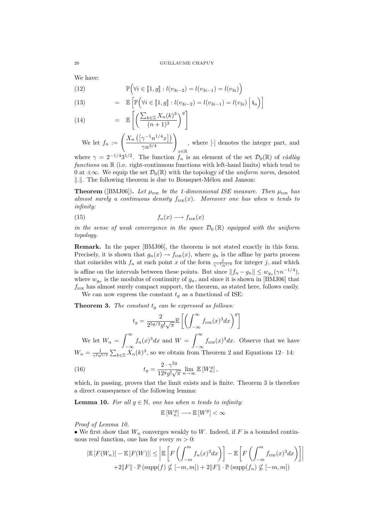We have:

(12) 
$$
\mathbb{P}\Big(\forall i \in [1, g] : l(v_{3i-2}) = l(v_{3i-1}) = l(v_{3i})\Big)
$$

(13) 
$$
= \mathbb{E}\left[\mathbb{P}\left(\forall i \in [1,g]: l(v_{3i-2}) = l(v_{3i-1}) = l(v_{3i}) \middle| \mathfrak{t}_n\right)\right]
$$

(14) 
$$
= \mathbb{E}\left[\left(\frac{\sum_{k\in\mathbb{Z}}X_n(k)^3}{(n+1)^3}\right)^g\right]
$$

We let  $f_n := \left( \frac{X_n\left( [\gamma^{-1} n^{1/4} x] \right)}{x_n^{3/4}} \right)$  $\gamma n^{3/4}$  $\setminus$ x∈R , where [·] denotes the integer part, and

where  $\gamma = 2^{-1/4}3^{1/2}$ . The function  $f_n$  is an element of the set  $\mathcal{D}_0(\mathbb{R})$  of cadlage functions on  $\mathbb R$  (i.e. right-continuous functions with left-hand limits) which tend to 0 at  $\pm \infty$ . We equip the set  $\mathcal{D}_0(\mathbb{R})$  with the topology of the uniform norm, denoted ||.||. The following theorem is due to Bousquet-Mélou and Janson:

**Theorem** ([BMJ06]). Let  $\mu_{\text{ISE}}$  be the 1-dimensional ISE measure. Then  $\mu_{\text{ISE}}$  has almost surely a continuous density  $f_{\text{ISE}}(x)$ . Moreover one has when n tends to infinity:

$$
(15) \t\t f_n(x) \longrightarrow f_{\text{ISE}}(x)
$$

in the sense of weak convergence in the space  $\mathcal{D}_0(\mathbb{R})$  equipped with the uniform topology.

Remark. In the paper [BMJ06], the theorem is not stated exactly in this form. Precisely, it is shown that  $g_n(x) \to f_{\text{ISE}}(x)$ , where  $g_n$  is the affine by parts process that coincides with  $f_n$  at each point x of the form  $\frac{j}{\gamma^{-1}n^{1/4}}$  for integer j, and which is affine on the intervals between these points. But since  $||f_n - g_n|| \leq w_{g_n}(\gamma n^{-1/4}),$ where  $w_{g_n}$  is the modulus of continuity of  $g_n$ , and since it is shown in [BMJ06] that  $f_{\text{ISE}}$  has almost surely compact support, the theorem, as stated here, follows easily.

We can now express the constant  $t_q$  as a functional of ISE:

**Theorem 3.** The constant  $t_q$  can be expressed as follows:

$$
t_g = \frac{2}{2^{5g/2}g!\sqrt{\pi}} \mathbb{E}\left[\left(\int_{-\infty}^{\infty} f_{\text{ISE}}(x)^3 dx\right)^g\right]
$$

We let  $W_n = \int_{0}^{\infty}$  $\int_{-\infty}^{\infty} f_n(x)^3 dx$  and  $W = \int_{-\infty}^{\infty}$  $\int_{-\infty} f_{\text{ISE}}(x)^3 dx$ . Observe that we have  $W_n = \frac{1}{\gamma^2 n^{5/2}} \sum_{k \in \mathbb{Z}} X_n(k)^3$ , so we obtain from Theorem 2 and Equations 12–14:

(16) 
$$
t_g = \frac{2 \cdot \gamma^{2g}}{12^g g! \sqrt{\pi}} \lim_{n \to \infty} \mathbb{E}\left[W_n^g\right],
$$

which, in passing, proves that the limit exists and is finite. Theorem 3 is therefore a direct consequence of the following lemma:

**Lemma 10.** For all  $q \in \mathbb{N}$ , one has when n tends to infinity:

$$
\mathbb{E}\left[W_n^g\right]\longrightarrow \mathbb{E}\left[W^g\right]<\infty
$$

Proof of Lemma 10.

• We first show that  $W_n$  converges weakly to W. Indeed, if F is a bounded continuous real function, one has for every  $m > 0$ :

$$
|\mathbb{E}\left[F(W_n)\right] - \mathbb{E}\left[F(W)\right]| \leq \left|\mathbb{E}\left[F\left(\int_{-m}^m f_n(x)^3 dx\right)\right] - \mathbb{E}\left[F\left(\int_{-m}^m f_{\text{ISE}}(x)^3 dx\right)\right]\right|
$$
  
+2||F|| \cdot \mathbb{P}\left(\text{supp}(f) \nsubseteq [-m, m]\right) + 2||F|| \cdot \mathbb{P}\left(\text{supp}(f\_n) \nsubseteq [-m, m]\right)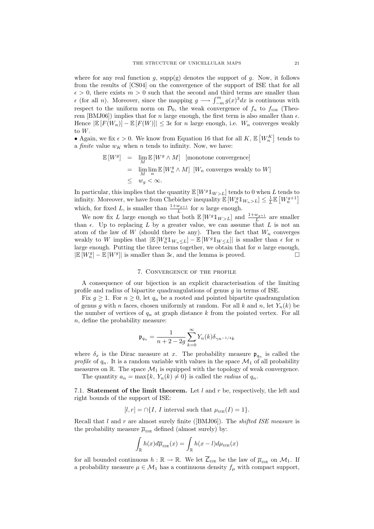where for any real function g, supp(g) denotes the support of g. Now, it follows from the results of [CS04] on the convergence of the support of ISE that for all  $\epsilon > 0$ , there exists  $m > 0$  such that the second and third terms are smaller than  $\epsilon$  (for all *n*). Moreover, since the mapping  $g$  →  $\int_{-m}^{m} g(x)^3 dx$  is continuous with respect to the uniform norm on  $\mathcal{D}_0$ , the weak convergence of  $f_n$  to  $f_{\text{ISE}}$  (Theorem [BMJ06]) implies that for n large enough, the first term is also smaller than  $\epsilon$ . Hence  $\left| \mathbb{E}[F(W_n)] - \mathbb{E}[F(W)] \right| \leq 3\epsilon$  for n large enough, i.e.  $W_n$  converges weakly to W.

• Again, we fix  $\epsilon > 0$ . We know from Equation 16 that for all K,  $\mathbb{E}\left[W_n^K\right]$  tends to a *finite* value  $w_K$  when n tends to infinity. Now, we have:

$$
\mathbb{E}[W^g] = \lim_{M} \mathbb{E}[W^g \wedge M] \quad \text{[monotone convergence]}
$$
\n
$$
= \lim_{M} \lim_{n} \mathbb{E}[W_n^g \wedge M] \quad [W_n \text{ converges weakly to } W]
$$
\n
$$
\leq w_g < \infty.
$$

In particular, this implies that the quantity  $\mathbb{E}[W^g \mathbb{1}_{W > L}]$  tends to 0 when L tends to infinity. Moreover, we have from Chebichev inequality  $\mathbb{E}[W_n^g 1_{W_n>L}] \leq \frac{1}{L} \mathbb{E}[W_n^{g+1}]$ which, for fixed L, is smaller than  $\frac{1+w_{g+1}}{L}$  for n large enough.

We now fix L large enough so that both  $\mathbb{E}[W^g \mathbb{1}_{W > L}]$  and  $\frac{1+w_{g+1}}{L}$  are smaller than  $\epsilon$ . Up to replacing L by a greater value, we can assume that L is not an atom of the law of W (should there be any). Then the fact that  $W_n$  converges weakly to W implies that  $\left| \mathbb{E} \left[ W_n^g \mathbb{1}_{W_n \leq L} \right] - \mathbb{E} \left[ W^g \mathbb{1}_{W \leq L} \right] \right|$  is smaller than  $\epsilon$  for n large enough. Putting the three terms together, we obtain that for  $n$  large enough,  $\left| \mathbb{E} \left[ W_n^g \right] - \mathbb{E} \left[ W^g \right] \right|$  is smaller than  $3\epsilon$ , and the lemma is proved.

### 7. Convergence of the profile

A consequence of our bijection is an explicit characterisation of the limiting profile and radius of bipartite quadrangulations of genus g in terms of ISE.

Fix  $g \geq 1$ . For  $n \geq 0$ , let  $q_n$  be a rooted and pointed bipartite quadrangulation of genus g with n faces, chosen uniformly at random. For all k and n, let  $Y_n(k)$  be the number of vertices of  $q_n$  at graph distance k from the pointed vertex. For all n, define the probability measure:

$$
\mathfrak{p}_{q_n}=\frac{1}{n+2-2g}\sum_{k=0}^{\infty}Y_n(k)\delta_{\gamma n^{-1/4}k}
$$

where  $\delta_x$  is the Dirac measure at x. The probability measure  $\mathfrak{p}_{q_n}$  is called the profile of  $q_n$ . It is a random variable with values in the space  $\mathcal{M}_1$  of all probability measures on  $\mathbb R$ . The space  $\mathcal M_1$  is equipped with the topology of weak convergence.

The quantity  $a_n = \max\{k, Y_n(k) \neq 0\}$  is called the *radius* of  $q_n$ .

7.1. Statement of the limit theorem. Let  $l$  and  $r$  be, respectively, the left and right bounds of the support of ISE:

 $[l, r] = \bigcap \{I, I \text{ interval such that } \mu_{\text{ISE}}(I) = 1\}.$ 

Recall that  $l$  and  $r$  are almost surely finite ([BMJ06]). The shifted ISE measure is the probability measure  $\overline{\mu}_{\text{ISE}}$  defined (almost surely) by:

$$
\int_{\mathbb{R}} h(x) d\overline{\mu}_{\text{ISE}}(x) = \int_{\mathbb{R}} h(x-l) d\mu_{\text{ISE}}(x)
$$

for all bounded continuous  $h : \mathbb{R} \to \mathbb{R}$ . We let  $\overline{\mathcal{L}}_{\text{ISE}}$  be the law of  $\overline{\mu}_{\text{ISE}}$  on  $\mathcal{M}_1$ . If a probability measure  $\mu \in \mathcal{M}_1$  has a continuous density  $f_{\mu}$  with compact support,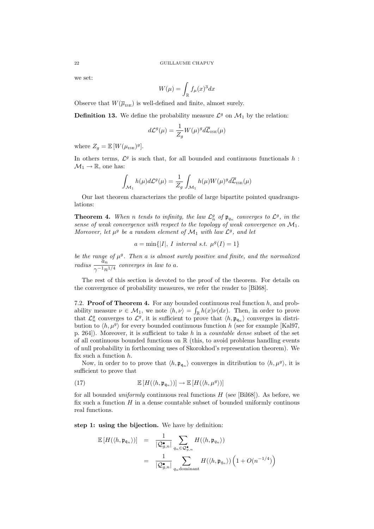we set:

$$
W(\mu) = \int_{\mathbb{R}} f_{\mu}(x)^{3} dx
$$

Observe that  $W(\overline{\mu}_{\text{ISE}})$  is well-defined and finite, almost surely.

**Definition 13.** We define the probability measure  $\mathcal{L}^g$  on  $\mathcal{M}_1$  by the relation:

$$
d\mathcal{L}^g(\mu) = \frac{1}{Z_g} W(\mu)^g d\overline{\mathcal{L}}_{\text{ISE}}(\mu)
$$

where  $Z_g = \mathbb{E}[W(\mu_{\text{ISE}})^g].$ 

In others terms,  $\mathcal{L}^g$  is such that, for all bounded and continuous functionals h:  $\mathcal{M}_1 \rightarrow \mathbb{R}$ , one has:

$$
\int_{\mathcal{M}_1} h(\mu) d\mathcal{L}^g(\mu) = \frac{1}{Z_g} \int_{\mathcal{M}_1} h(\mu) W(\mu)^g d\overline{\mathcal{L}}_{\text{ISE}}(\mu)
$$

Our last theorem characterizes the profile of large bipartite pointed quadrangulations:

**Theorem 4.** When n tends to infinity, the law  $\mathcal{L}_n^g$  of  $\mathfrak{p}_{q_n}$  converges to  $\mathcal{L}^g$ , in the sense of weak convergence with respect to the topology of weak convergence on  $\mathcal{M}_1$ . Moreover, let  $\mu^g$  be a random element of  $\mathcal{M}_1$  with law  $\mathcal{L}^g$ , and let

$$
a = \min\{|I|, I \text{ interval s.t. } \mu^g(I) = 1\}
$$

be the range of  $\mu^g$ . Then a is almost surely positive and finite, and the normalized radius  $\frac{a_n}{\gamma^{-1}n^{1/4}}$  converges in law to a.

The rest of this section is devoted to the proof of the theorem. For details on the convergence of probability measures, we refer the reader to [Bil68].

7.2. **Proof of Theorem 4.** For any bounded continuous real function  $h$ , and probability measure  $\nu \in \mathcal{M}_1$ , we note  $\langle h, \nu \rangle = \int_{\mathbb{R}} h(x) \nu(dx)$ . Then, in order to prove that  $\mathcal{L}_n^g$  converges to  $\mathcal{L}^g$ , it is sufficient to prove that  $\langle h, \mathfrak{p}_{\mathfrak{q}_n} \rangle$  converges in distribution to  $\langle h, \mu^g \rangle$  for every bounded continuous function h (see for example [Kal97, p. 264]). Moreover, it is sufficient to take h in a countable dense subset of the set of all continuous bounded functions on  $\mathbb R$  (this, to avoid problems handling events of null probability in forthcoming uses of Skorokhod's representation theorem). We fix such a function  $h$ .

Now, in order to to prove that  $\langle h, \mathfrak{p}_{\mathfrak{q}_n} \rangle$  converges in ditribution to  $\langle h, \mu^g \rangle$ , it is sufficient to prove that

(17) 
$$
\mathbb{E}\left[H(\langle h, \mathfrak{p}_{\mathfrak{q}_n}\rangle)\right] \to \mathbb{E}\left[H(\langle h, \mu^g\rangle)\right]
$$

for all bounded *uniformly* continuous real functions  $H$  (see [Bil68]). As before, we fix such a function  $H$  in a dense countable subset of bounded uniformly continous real functions.

step 1: using the bijection. We have by definition:

$$
\begin{array}{lcl} \mathbb{E}\left[H(\langle h, \mathfrak{p}_{\mathfrak{q}_n}\rangle)\right] & = & \frac{1}{|\mathcal{Q}_{g,n}^\bullet|}\sum_{q_n\in \mathcal{Q}_{g,n}^\bullet}H(\langle h, \mathfrak{p}_{q_n}\rangle) \\ \\ & = & \frac{1}{|\mathcal{Q}_{g,n}^\bullet|}\sum_{q_n\text{dominant}}H(\langle h, \mathfrak{p}_{q_n}\rangle)\left(1+O(n^{-1/4})\right) \end{array}
$$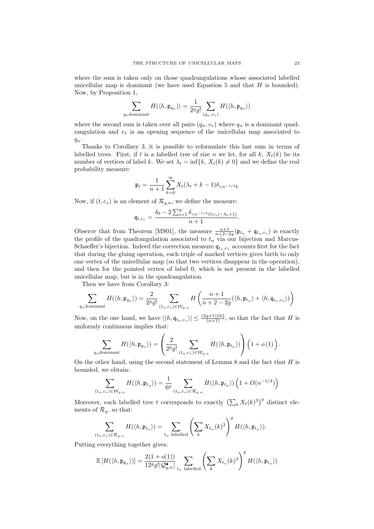where the sum is taken only on those quadrangulations whose associated labelled unicellular map is dominant (we have used Equation 5 and that  $H$  is bounded). Now, by Proposition 1,

$$
\sum_{q_n \text{dominant}} H(\langle h, \mathfrak{p}_{q_n}) \rangle = \frac{1}{2^g g!} \sum_{(q_n, v_*)} H(\langle h, \mathfrak{p}_{q_n} \rangle)
$$

where the second sum is taken over all pairs  $(q_n, v_*)$  where  $q_n$  is a dominant quadrangulation and  $v_*$  is an opening sequence of the unicellular map associated to  $q_n$ .

Thanks to Corollary 3, it is possible to reformulate this last sum in terms of labelled trees. First, if t is a labelled tree of size n we let, for all k,  $X_t(k)$  be its number of vertices of label k. We set  $\lambda_t = \inf\{k, X_t(k) \neq 0\}$  and we define the real probability measure:

$$
\mathfrak{p}_t = \frac{1}{n+1} \sum_{k=0}^{\infty} X_t (\lambda_t + k - 1) \delta_{\gamma n^{-1/4}k}
$$

Now, if  $(t, c_*)$  is an element of  $\mathcal{R}_{g,n}$ , we define the measure:

$$
\mathfrak{q}_{t,c_*} = \frac{\delta_0 - 2\sum_{i=1}^g \delta_{\gamma n^{-1/4} (l(c_i) - \lambda_t + 1)}}{n+1}.
$$

Observe that from Theorem [MS01], the measure  $\frac{n+1}{n+2-2g}(\mathfrak{p}_{t_n} + \mathfrak{q}_{t_n,c_*})$  is exactly the profile of the quadrangulation associated to  $t_n$  via our bijection and Marcus-Schaeffer's bijection. Indeed the correction measure  $\mathfrak{q}_{t_n,c_*}$  accounts first for the fact that during the gluing operation, each triple of marked vertices gives birth to only one vertex of the unicellular map (so that two vertices disappear in the operation), and then for the pointed vertex of label 0, which is not present in the labelled unicellular map, but is in the quadrangulation.

Then we have from Corollary 3:

 $q_n$ 

 $(t$ 

$$
\sum_{q_n \text{dominant}} H(\langle h, \mathfrak{p}_{q_n} \rangle) = \frac{2}{2^g g!} \sum_{(t_n, c_*) \in \mathcal{W}_{g,n}} H\left(\frac{n+1}{n+2-2g} (\langle h, \mathfrak{p}_{t_n} \rangle + \langle h, \mathfrak{q}_{t_n, c_*} \rangle) \right)
$$

Now, on the one hand, we have  $|\langle h, \mathfrak{q}_{t_n,c_*}\rangle| \leq \frac{(2g+1)\|h\|}{(n+1)}$ , so that the fact that H is uniformly continuous implies that:

$$
\sum_{\text{dominant}} H(\langle h, \mathfrak{p}_{q_n} \rangle) = \left(\frac{2}{2^g g!} \sum_{(t_n, c_*) \in \mathcal{W}_{g,n}} H(\langle h, \mathfrak{p}_{t_n} \rangle) \right) \left(1 + o(1)\right).
$$

On the other hand, using the second statement of Lemma 8 and the fact that  $H$  is bounded, we obtain:

$$
\sum_{(t_n,c_*)\in\mathcal{W}_{g,n}} H(\langle h,\mathfrak{p}_{t_n}\rangle) = \frac{1}{6^g} \sum_{(t_n,c_*)\in\mathcal{R}_{g,n}} H(\langle h,\mathfrak{p}_{t_n}\rangle) \left(1 + O(n^{-1/4})\right)
$$

Moreover, each labelled tree t corresponds to exactly  $\left(\sum_k X_t(k)^3\right)^g$  distinct elements of  $\mathcal{R}_q$ , so that:

$$
\sum_{n,c_*\in\mathcal{R}_{g,n}}H(\langle h,\mathfrak{p}_{t_n}\rangle)=\sum_{t_n \text{ labelled}}\left(\sum_{k}X_{t_n}(k)^3\right)^g H(\langle h,\mathfrak{p}_{t_n}\rangle).
$$

Putting everything together gives:

$$
\mathbb{E}\left[H(\langle h, \mathfrak{p}_{\mathfrak{q}_n}\rangle)\right] = \frac{2(1+o(1))}{12^g g! |\mathcal{Q}_{g,n}^{\bullet}|}\sum_{t_n \text{ labelled}} \left(\sum_k X_{t_n}(k)^3\right)^g H(\langle h, \mathfrak{p}_{t_n}\rangle)
$$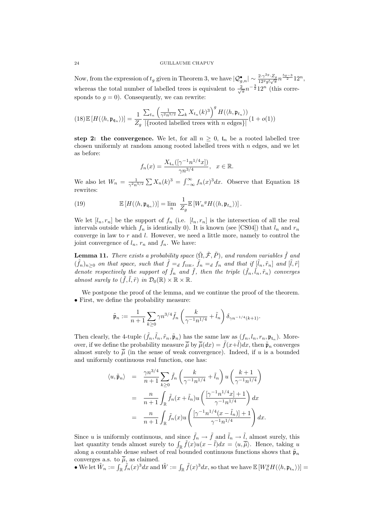Now, from the expression of  $t_g$  given in Theorem 3, we have  $|Q_{g,n}^{\bullet}| \sim \frac{2 \cdot \gamma^{2g} \cdot Z_g}{12^g g! \sqrt{\pi}}$  $\frac{2 \cdot \gamma^{2g} \cdot Z_g}{12^g g! \sqrt{\pi}} n^{\frac{5g-3}{2}} 12^n,$ whereas the total number of labelled trees is equivalent to  $\frac{2}{\sqrt{\pi}}n^{-\frac{3}{2}}12^n$  (this corresponds to  $q = 0$ ). Consequently, we can rewrite:

$$
(18)\mathbb{E}\left[H(\langle h, \mathfrak{p}_{\mathfrak{q}_n}\rangle)\right] = \frac{1}{Z_g} \frac{\sum_{t_n} \left(\frac{1}{\gamma^2 n^{5/2}} \sum_{k} X_{t_n}(k)^3\right)^g H(\langle h, \mathfrak{p}_{t_n}\rangle)}{\left|\{\text{rooted labeled trees with } n \text{ edges}\}\right|} (1+o(1))
$$

step 2: the convergence. We let, for all  $n \geq 0$ ,  $t_n$  be a rooted labelled tree chosen uniformly at random among rooted labelled trees with  $n$  edges, and we let as before:

$$
f_n(x) = \frac{X_{t_n}([\gamma^{-1}n^{1/4}x])}{\gamma n^{3/4}}, \quad x \in \mathbb{R}.
$$

We also let  $W_n = \frac{1}{\gamma^2 n^{5/2}} \sum_{n} X_n(k)^3 = \int_{-\infty}^{\infty} f_n(x)^3 dx$ . Observe that Equation 18 rewrites:

(19) 
$$
\mathbb{E}\left[H(\langle h, \mathfrak{p}_{\mathfrak{q}_n}\rangle)\right] = \lim_{n} \frac{1}{Z_g} \mathbb{E}\left[W_n{}^g H(\langle h, \mathfrak{p}_{t_n}\rangle)\right].
$$

We let  $[l_n, r_n]$  be the support of  $f_n$  (i.e.  $[l_n, r_n]$  is the intersection of all the real intervals outside which  $f_n$  is identically 0). It is known (see [CS04]) that  $l_n$  and  $r_n$ converge in law to  $r$  and  $l$ . However, we need a little more, namely to control the joint convergence of  $l_n$ ,  $r_n$  and  $f_n$ . We have:

**Lemma 11.** There exists a probability space  $(\tilde{\Omega}, \tilde{\mathcal{F}}, \tilde{P})$ , and random variables  $\tilde{f}$  and  $(\tilde{f}_n)_{n\geq 0}$  on that space, such that  $\tilde{f} =_d f_{\text{ISE}}, \tilde{f}_n =_d f_n$  and that if  $[\tilde{l}_n, \tilde{r}_n]$  and  $[\tilde{l}, \tilde{r}]$ denote respectively the support of  $\tilde{f}_n$  and  $\tilde{f}$ , then the triple  $(\tilde{f}_n, \tilde{l}_n, \tilde{r}_n)$  converges almost surely to  $(\tilde{f}, \tilde{l}, \tilde{r})$  in  $\mathcal{D}_0(\mathbb{R}) \times \mathbb{R} \times \mathbb{R}$ .

We postpone the proof of the lemma, and we continue the proof of the theorem. • First, we define the probability measure:

$$
\tilde{\mathfrak{p}}_n := \frac{1}{n+1} \sum_{k \ge 0} \gamma n^{3/4} \tilde{f}_n \left( \frac{k}{\gamma^{-1} n^{1/4}} + \tilde{l}_n \right) \delta_{\gamma n^{-1/4}(k+1)}.
$$

Then clearly, the 4-tuple  $(\tilde{f}_n, \tilde{l}_n, \tilde{r}_n, \tilde{\mathfrak{p}}_n)$  has the same law as  $(f_n, l_n, r_n, \mathfrak{p}_{t_n})$ . Moreover, if we define the probability measure  $\bar{\tilde{\mu}}$  by  $\bar{\tilde{\mu}}(dx) = \tilde{f}(x+\tilde{l})dx$ , then  $\tilde{\mathfrak{p}}_n$  converges almost surely to  $\bar{\tilde{\mu}}$  (in the sense of weak convergence). Indeed, if u is a bounded and uniformly continuous real function, one has:

$$
\langle u, \tilde{\mathfrak{p}}_n \rangle = \frac{\gamma n^{3/4}}{n+1} \sum_{k \ge 0} \tilde{f}_n \left( \frac{k}{\gamma^{-1} n^{1/4}} + \tilde{l}_n \right) u \left( \frac{k+1}{\gamma^{-1} n^{1/4}} \right)
$$
  

$$
= \frac{n}{n+1} \int_{\mathbb{R}} \tilde{f}_n(x + \tilde{l}_n) u \left( \frac{[\gamma^{-1} n^{1/4} x] + 1}{\gamma^{-1} n^{1/4}} \right) dx
$$
  

$$
= \frac{n}{n+1} \int_{\mathbb{R}} \tilde{f}_n(x) u \left( \frac{[\gamma^{-1} n^{1/4} (x - \tilde{l}_n)] + 1}{\gamma^{-1} n^{1/4}} \right) dx.
$$

Since u is uniformly continuous, and since  $\tilde{f}_n \to \tilde{f}$  and  $\tilde{l}_n \to \tilde{l}$ , almost surely, this last quantity tends almost surely to  $\int_{\mathbb{R}} \tilde{f}(x)u(x - \tilde{l})dx = \langle u, \tilde{\mu} \rangle$ . Hence, taking u along a countable dense subset of real bounded continuous functions shows that  $\tilde{\mathfrak{p}}_n$ converges a.s. to  $\overline{\tilde{\mu}}$ , as claimed.

• We let  $\tilde{W}_n := \int_{\mathbb{R}} \tilde{f}_n(x)^3 dx$  and  $\tilde{W} := \int_{\mathbb{R}} \tilde{f}(x)^3 dx$ , so that we have  $\mathbb{E}[W_n^g H(\langle h, \mathfrak{p}_{t_n} \rangle)] =$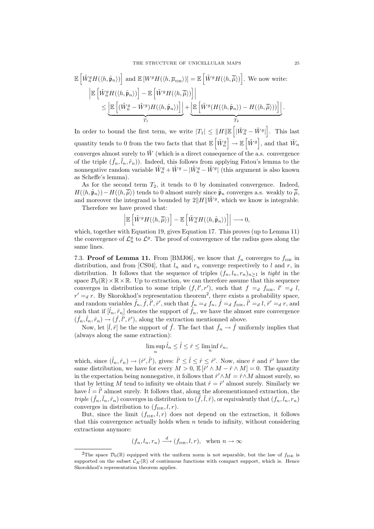$$
\mathbb{E}\left[\tilde{W}_{n}^{g}H(\langle h, \tilde{\mathfrak{p}}_{n}\rangle)\right] \text{ and } \mathbb{E}\left[W^{g}H(\langle h, \overline{\mu}_{\text{ISE}}\rangle)\right] = \mathbb{E}\left[\tilde{W}^{g}H(\langle h, \overline{\tilde{\mu}}\rangle)\right]. \text{ We now write:}
$$
\n
$$
\left|\mathbb{E}\left[\tilde{W}_{n}^{g}H(\langle h, \tilde{\mathfrak{p}}_{n}\rangle)\right] - \mathbb{E}\left[\tilde{W}^{g}H(\langle h, \overline{\tilde{\mu}}\rangle)\right]\right|
$$
\n
$$
\leq \underbrace{\left|\mathbb{E}\left[(\tilde{W}_{n}^{g} - \tilde{W}^{g})H(\langle h, \tilde{\mathfrak{p}}_{n}\rangle)\right]\right|}_{T_{1}} + \underbrace{\left|\mathbb{E}\left[\tilde{W}^{g}(H(\langle h, \tilde{\mathfrak{p}}_{n}\rangle) - H(\langle h, \overline{\tilde{\mu}}\rangle))\right]\right|}_{T_{2}}.
$$

In order to bound the first term, we write  $|T_1| \leq ||H|| \mathbb{E} \left[|\tilde{W}_n^g - \tilde{W}^g|\right]$ . This last quantity tends to 0 from the two facts that that  $\mathbb{E} \left[ \tilde{W}_n^g \right] \to \mathbb{E} \left[ \tilde{W}^g \right]$ , and that  $\tilde{W}_n$ converges almost surely to  $\tilde{W}$  (which is a direct consequence of the a.s. convergence of the triple  $(\tilde{f}_n, \tilde{t}_n, \tilde{r}_n)$ . Indeed, this follows from applying Fatou's lemma to the nonnegative random variable  $\tilde{W}_n^g + \tilde{W}^g - |\tilde{W}_n^g - \tilde{W}^g|$  (this argument is also known as Scheffe's lemma).

As for the second term  $T_2$ , it tends to 0 by dominated convergence. Indeed,  $H(\langle h, \tilde{\mathfrak{p}}_n \rangle) - H(\langle h, \tilde{\mu} \rangle)$  tends to 0 almost surely since  $\tilde{\mathfrak{p}}_n$  converges a.s. weakly to  $\tilde{\mu}$ , and moreover the integrand is bounded by  $2||H||\tilde{W}^g$ , which we know is integrable. Therefore we have proved that:

$$
\left| \mathbb{E}\left[ \tilde{W}^g H(\langle h, \overline{\tilde{\mu}} \rangle) \right] - \mathbb{E}\left[ \tilde{W}_n^g H(\langle h, \tilde{\mathfrak{p}}_n \rangle) \right] \right| \longrightarrow 0,
$$

which, together with Equation 19, gives Equation 17. This proves (up to Lemma 11) the convergence of  $\mathcal{L}_n^g$  to  $\mathcal{L}^g$ . The proof of convergence of the radius goes along the same lines.

7.3. Proof of Lemma 11. From [BMJ06], we know that  $f_n$  converges to  $f_{\text{ISE}}$  in distribution, and from [CS04], that  $l_n$  and  $r_n$  converge respectively to l and r, in distribution. It follows that the sequence of triples  $(f_n, l_n, r_n)_{n>1}$  is tight in the space  $\mathcal{D}_0(\mathbb{R}) \times \mathbb{R} \times \mathbb{R}$ . Up to extraction, we can therefore assume that this sequence converges in distribution to some triple  $(f, l', r')$ , such that  $f =_d f_{\text{ISE}}$ ,  $l' =_d l$ ,  $r' =_d r$ . By Skorokhod's representation theorem<sup>2</sup>, there exists a probability space, and random variables  $\hat{f}_n, \hat{f}, \hat{l}', \hat{r}',$  such that  $\hat{f}_n = d f_n$ ,  $\hat{f} = d f_{\text{ISE}}$ ,  $\hat{l}' = d l$ ,  $\hat{r}' = d r$ , and such that if  $[\hat{l}_n, \hat{r}_n]$  denotes the support of  $\hat{f}_n$ , we have the almost sure convergence  $(\hat{f}_n, \hat{l}_n, \hat{r}_n) \rightarrow (\hat{f}, \hat{l}', \hat{r}')$ , along the extraction mentionned above.

Now, let  $[\hat{l}, \hat{r}]$  be the support of  $\hat{f}$ . The fact that  $\hat{f}_n \to \hat{f}$  uniformly implies that (always along the same extraction):

$$
\limsup_n \hat{l}_n \le \hat{l} \le \hat{r} \le \liminf_n \hat{r}_n,
$$

which, since  $(\hat{l}_n, \hat{r}_n) \to (\hat{r}', \hat{l}')$ , gives:  $\hat{l}' \leq \hat{l} \leq \hat{r} \leq \hat{r}'$ . Now, since  $\hat{r}$  and  $\hat{r}'$  have the same distribution, we have for every  $M > 0$ ,  $\mathbb{E}[\hat{r}' \wedge M - \hat{r} \wedge M] = 0$ . The quantity in the expectation being nonnegative, it follows that  $\hat{r}' \wedge M = \hat{r} \wedge M$  almost surely, so that by letting M tend to infinity we obtain that  $\hat{r} = \hat{r}'$  almost surely. Similarly we have  $\hat{l} = \hat{l}'$  almost surely. It follows that, along the aforementionned extraction, the *triple*  $(\hat{f}_n, \hat{l}_n, \hat{r}_n)$  converges in distribution to  $(\hat{f}, \hat{l}, \hat{r})$ , or equivalently that  $(f_n, l_n, r_n)$ converges in distribution to  $(f_{\text{ISE}}, l, r)$ .

But, since the limit  $(f_{\text{ISE}}, l, r)$  does not depend on the extraction, it follows that this convergence actually holds when  $n$  tends to infinity, without considering extractions anymore:

$$
(f_n, l_n, r_n) \stackrel{d}{\longrightarrow} (f_{\text{ISE}}, l, r), \text{ when } n \to \infty
$$

<sup>&</sup>lt;sup>2</sup>The space  $\mathcal{D}_0(\mathbb{R})$  equipped with the uniform norm is not separable, but the law of  $f_{\text{ISE}}$  is supported on the subset  $\mathcal{C}_K(\mathbb{R})$  of continuous functions with compact support, which is. Hence Skorokhod's representation theorem applies.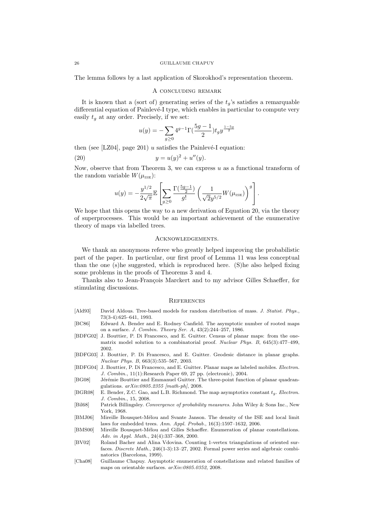#### 26 GUILLAUME CHAPUY

The lemma follows by a last application of Skorokhod's representation theorem.

# A concluding remark

It is known that a (sort of) generating series of the  $t_g$ 's satisfies a remarquable differential equation of Painlevé-I type, which enables in particular to compute very easily  $t_q$  at any order. Precisely, if we set:

$$
u(y)=-\sum_{g\geq 0}4^{g-1}\Gamma(\frac{5g-1}{2})t_{g}y^{\frac{1-5g}{2}}
$$

then (see [LZ04], page 201) u satisfies the Painlevé-I equation:

(20) 
$$
y = u(y)^2 + u''(y).
$$

Now, observe that from Theorem 3, we can express  $u$  as a functional transform of the random variable  $W(\mu_{\text{ISE}})$ :

$$
u(y) = -\frac{y^{1/2}}{2\sqrt{\pi}} \mathbb{E}\left[\sum_{g\geq 0} \frac{\Gamma(\frac{5g-1}{2})}{g!} \left(\frac{1}{\sqrt{2}y^{5/2}} W(\mu_{\text{ISE}})\right)^g\right].
$$

We hope that this opens the way to a new derivation of Equation 20, via the theory of superprocesses. This would be an important achievement of the enumerative theory of maps via labelled trees.

### Acknowledgements.

We thank an anonymous referee who greatly helped improving the probabilistic part of the paper. In particular, our first proof of Lemma 11 was less conceptual than the one (s)he suggested, which is reproduced here. (S)he also helped fixing some problems in the proofs of Theorems 3 and 4.

Thanks also to Jean-François Marckert and to my advisor Gilles Schaeffer, for stimulating discussions.

#### **REFERENCES**

- [Ald93] David Aldous. Tree-based models for random distribution of mass. J. Statist. Phys., 73(3-4):625–641, 1993.
- [BC86] Edward A. Bender and E. Rodney Canfield. The asymptotic number of rooted maps on a surface. J. Combin. Theory Ser. A, 43(2):244–257, 1986.
- [BDFG02] J. Bouttier, P. Di Francesco, and E. Guitter. Census of planar maps: from the onematrix model solution to a combinatorial proof. *Nuclear Phys. B*, 645(3):477–499, 2002.
- [BDFG03] J. Bouttier, P. Di Francesco, and E. Guitter. Geodesic distance in planar graphs. Nuclear Phys. B, 663(3):535–567, 2003.
- [BDFG04] J. Bouttier, P. Di Francesco, and E. Guitter. Planar maps as labeled mobiles. Electron. J. Combin., 11(1):Research Paper 69, 27 pp. (electronic), 2004.
- [BG08] Jérémie Bouttier and Emmanuel Guitter. The three-point function of planar quadrangulations. arXiv:0805.2355 [math-ph], 2008.
- [BGR08] E. Bender, Z.C. Gao, and L.B. Richmond. The map asymptotics constant  $t_q$ . Electron. J. Combin., 15, 2008.
- [Bil68] Patrick Billingsley. Convergence of probability measures. John Wiley & Sons Inc., New York, 1968.
- [BMJ06] Mireille Bousquet-Mélou and Svante Janson. The density of the ISE and local limit laws for embedded trees. Ann. Appl. Probab., 16(3):1597–1632, 2006.
- [BMS00] Mireille Bousquet-Mélou and Gilles Schaeffer. Enumeration of planar constellations. Adv. in Appl. Math., 24(4):337–368, 2000.
- [BV02] Roland Bacher and Alina Vdovina. Counting 1-vertex triangulations of oriented surfaces. Discrete Math., 246(1-3):13–27, 2002. Formal power series and algebraic combinatorics (Barcelona, 1999).
- [Cha08] Guillaume Chapuy. Asymptotic enumeration of constellations and related families of maps on orientable surfaces. arXiv:0805.0352, 2008.